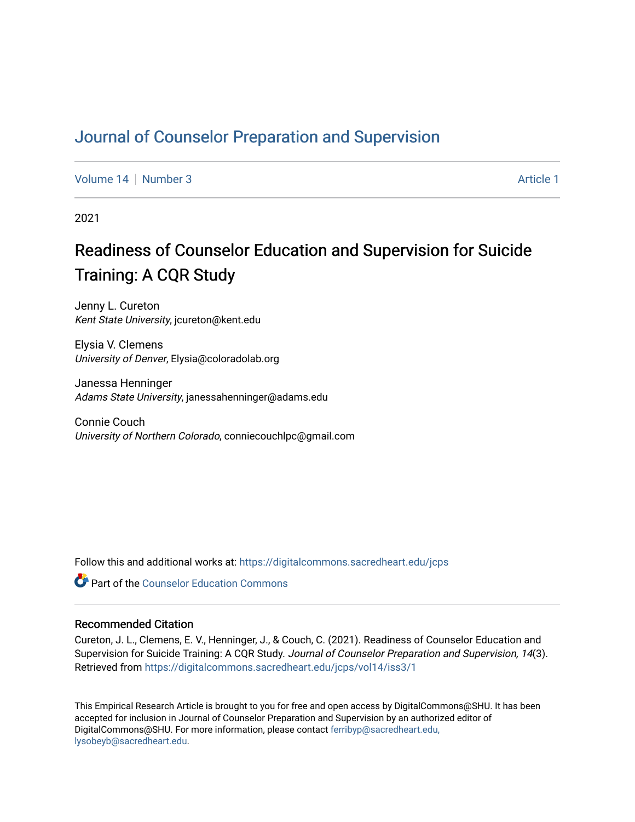# [Journal of Counselor Preparation and Supervision](https://digitalcommons.sacredheart.edu/jcps)

[Volume 14](https://digitalcommons.sacredheart.edu/jcps/vol14) | [Number 3](https://digitalcommons.sacredheart.edu/jcps/vol14/iss3) Article 1

2021

# Readiness of Counselor Education and Supervision for Suicide Training: A CQR Study

Jenny L. Cureton Kent State University, jcureton@kent.edu

Elysia V. Clemens University of Denver, Elysia@coloradolab.org

Janessa Henninger Adams State University, janessahenninger@adams.edu

Connie Couch University of Northern Colorado, conniecouchlpc@gmail.com

Follow this and additional works at: [https://digitalcommons.sacredheart.edu/jcps](https://digitalcommons.sacredheart.edu/jcps?utm_source=digitalcommons.sacredheart.edu%2Fjcps%2Fvol14%2Fiss3%2F1&utm_medium=PDF&utm_campaign=PDFCoverPages) 

**C** Part of the Counselor Education Commons

#### Recommended Citation

Cureton, J. L., Clemens, E. V., Henninger, J., & Couch, C. (2021). Readiness of Counselor Education and Supervision for Suicide Training: A CQR Study. Journal of Counselor Preparation and Supervision, 14(3). Retrieved from [https://digitalcommons.sacredheart.edu/jcps/vol14/iss3/1](https://digitalcommons.sacredheart.edu/jcps/vol14/iss3/1?utm_source=digitalcommons.sacredheart.edu%2Fjcps%2Fvol14%2Fiss3%2F1&utm_medium=PDF&utm_campaign=PDFCoverPages) 

This Empirical Research Article is brought to you for free and open access by DigitalCommons@SHU. It has been accepted for inclusion in Journal of Counselor Preparation and Supervision by an authorized editor of DigitalCommons@SHU. For more information, please contact [ferribyp@sacredheart.edu,](mailto:ferribyp@sacredheart.edu,%20lysobeyb@sacredheart.edu) [lysobeyb@sacredheart.edu](mailto:ferribyp@sacredheart.edu,%20lysobeyb@sacredheart.edu).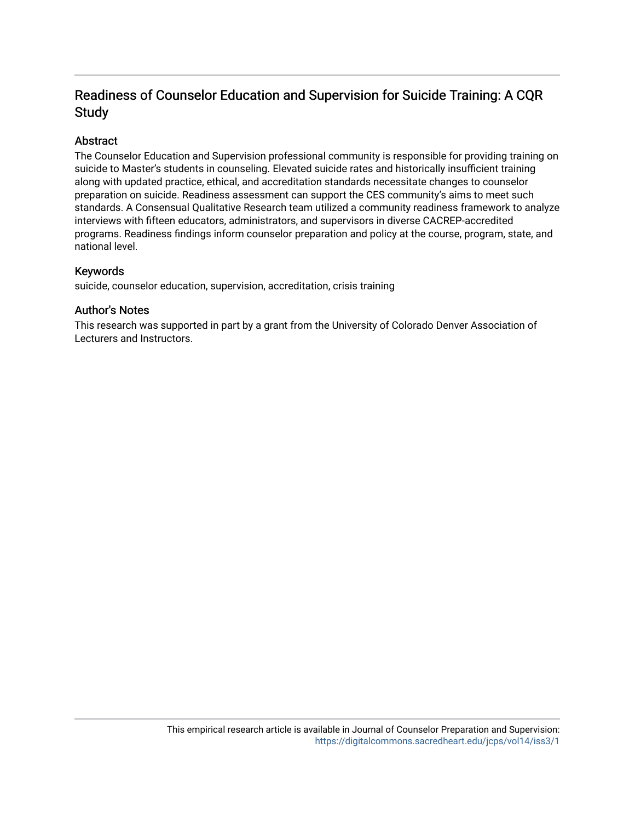# Readiness of Counselor Education and Supervision for Suicide Training: A CQR Study

# Abstract

The Counselor Education and Supervision professional community is responsible for providing training on suicide to Master's students in counseling. Elevated suicide rates and historically insufficient training along with updated practice, ethical, and accreditation standards necessitate changes to counselor preparation on suicide. Readiness assessment can support the CES community's aims to meet such standards. A Consensual Qualitative Research team utilized a community readiness framework to analyze interviews with fifteen educators, administrators, and supervisors in diverse CACREP-accredited programs. Readiness findings inform counselor preparation and policy at the course, program, state, and national level.

# Keywords

suicide, counselor education, supervision, accreditation, crisis training

# Author's Notes

This research was supported in part by a grant from the University of Colorado Denver Association of Lecturers and Instructors.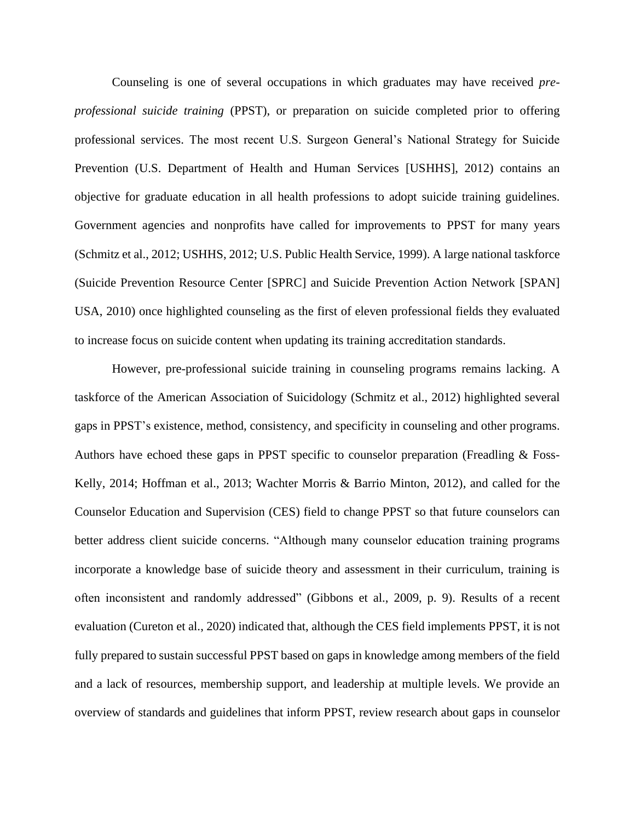Counseling is one of several occupations in which graduates may have received *preprofessional suicide training* (PPST), or preparation on suicide completed prior to offering professional services. The most recent U.S. Surgeon General's National Strategy for Suicide Prevention (U.S. Department of Health and Human Services [USHHS], 2012) contains an objective for graduate education in all health professions to adopt suicide training guidelines. Government agencies and nonprofits have called for improvements to PPST for many years (Schmitz et al., 2012; USHHS, 2012; U.S. Public Health Service, 1999). A large national taskforce (Suicide Prevention Resource Center [SPRC] and Suicide Prevention Action Network [SPAN] USA, 2010) once highlighted counseling as the first of eleven professional fields they evaluated to increase focus on suicide content when updating its training accreditation standards.

However, pre-professional suicide training in counseling programs remains lacking. A taskforce of the American Association of Suicidology (Schmitz et al., 2012) highlighted several gaps in PPST's existence, method, consistency, and specificity in counseling and other programs. Authors have echoed these gaps in PPST specific to counselor preparation (Freadling & Foss-Kelly, 2014; Hoffman et al., 2013; Wachter Morris & Barrio Minton, 2012), and called for the Counselor Education and Supervision (CES) field to change PPST so that future counselors can better address client suicide concerns. "Although many counselor education training programs incorporate a knowledge base of suicide theory and assessment in their curriculum, training is often inconsistent and randomly addressed" (Gibbons et al., 2009, p. 9). Results of a recent evaluation (Cureton et al., 2020) indicated that, although the CES field implements PPST, it is not fully prepared to sustain successful PPST based on gaps in knowledge among members of the field and a lack of resources, membership support, and leadership at multiple levels. We provide an overview of standards and guidelines that inform PPST, review research about gaps in counselor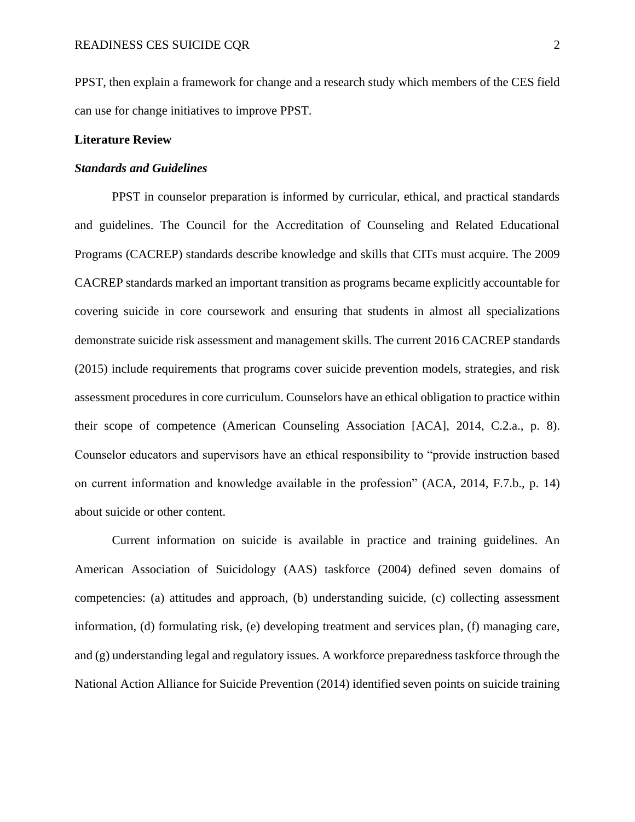PPST, then explain a framework for change and a research study which members of the CES field can use for change initiatives to improve PPST.

#### **Literature Review**

#### *Standards and Guidelines*

PPST in counselor preparation is informed by curricular, ethical, and practical standards and guidelines. The Council for the Accreditation of Counseling and Related Educational Programs (CACREP) standards describe knowledge and skills that CITs must acquire. The 2009 CACREP standards marked an important transition as programs became explicitly accountable for covering suicide in core coursework and ensuring that students in almost all specializations demonstrate suicide risk assessment and management skills. The current 2016 CACREP standards (2015) include requirements that programs cover suicide prevention models, strategies, and risk assessment procedures in core curriculum. Counselors have an ethical obligation to practice within their scope of competence (American Counseling Association [ACA], 2014, C.2.a., p. 8). Counselor educators and supervisors have an ethical responsibility to "provide instruction based on current information and knowledge available in the profession" (ACA, 2014, F.7.b., p. 14) about suicide or other content.

Current information on suicide is available in practice and training guidelines. An American Association of Suicidology (AAS) taskforce (2004) defined seven domains of competencies: (a) attitudes and approach, (b) understanding suicide, (c) collecting assessment information, (d) formulating risk, (e) developing treatment and services plan, (f) managing care, and (g) understanding legal and regulatory issues. A workforce preparedness taskforce through the National Action Alliance for Suicide Prevention (2014) identified seven points on suicide training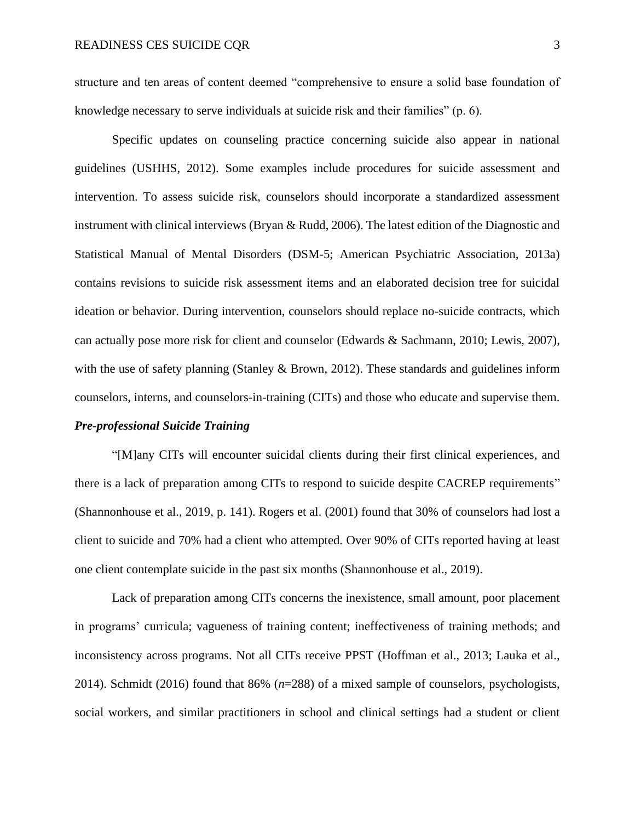structure and ten areas of content deemed "comprehensive to ensure a solid base foundation of knowledge necessary to serve individuals at suicide risk and their families" (p. 6).

Specific updates on counseling practice concerning suicide also appear in national guidelines (USHHS, 2012). Some examples include procedures for suicide assessment and intervention. To assess suicide risk, counselors should incorporate a standardized assessment instrument with clinical interviews (Bryan & Rudd, 2006). The latest edition of the Diagnostic and Statistical Manual of Mental Disorders (DSM-5; American Psychiatric Association, 2013a) contains revisions to suicide risk assessment items and an elaborated decision tree for suicidal ideation or behavior. During intervention, counselors should replace no-suicide contracts, which can actually pose more risk for client and counselor (Edwards & Sachmann, 2010; Lewis, 2007), with the use of safety planning (Stanley & Brown, 2012). These standards and guidelines inform counselors, interns, and counselors-in-training (CITs) and those who educate and supervise them.

#### *Pre-professional Suicide Training*

"[M]any CITs will encounter suicidal clients during their first clinical experiences, and there is a lack of preparation among CITs to respond to suicide despite CACREP requirements" (Shannonhouse et al., 2019, p. 141). Rogers et al. (2001) found that 30% of counselors had lost a client to suicide and 70% had a client who attempted. Over 90% of CITs reported having at least one client contemplate suicide in the past six months (Shannonhouse et al., 2019).

Lack of preparation among CITs concerns the inexistence, small amount, poor placement in programs' curricula; vagueness of training content; ineffectiveness of training methods; and inconsistency across programs. Not all CITs receive PPST (Hoffman et al., 2013; Lauka et al., 2014). Schmidt (2016) found that 86% (*n*=288) of a mixed sample of counselors, psychologists, social workers, and similar practitioners in school and clinical settings had a student or client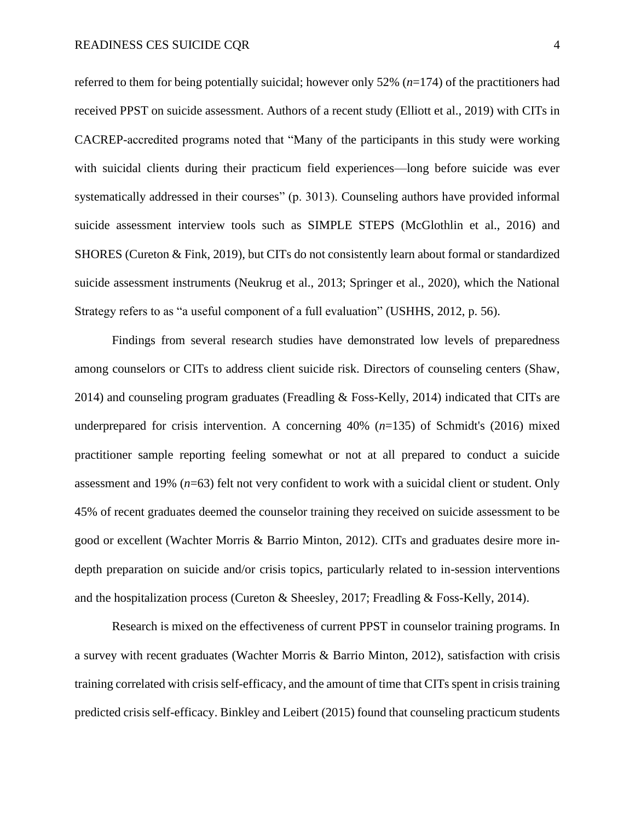referred to them for being potentially suicidal; however only 52% (*n*=174) of the practitioners had received PPST on suicide assessment. Authors of a recent study (Elliott et al., 2019) with CITs in CACREP-accredited programs noted that "Many of the participants in this study were working with suicidal clients during their practicum field experiences—long before suicide was ever systematically addressed in their courses" (p. 3013). Counseling authors have provided informal suicide assessment interview tools such as SIMPLE STEPS (McGlothlin et al., 2016) and SHORES (Cureton & Fink, 2019), but CITs do not consistently learn about formal or standardized suicide assessment instruments (Neukrug et al., 2013; Springer et al., 2020), which the National Strategy refers to as "a useful component of a full evaluation" (USHHS, 2012, p. 56).

Findings from several research studies have demonstrated low levels of preparedness among counselors or CITs to address client suicide risk. Directors of counseling centers (Shaw, 2014) and counseling program graduates (Freadling & Foss-Kelly, 2014) indicated that CITs are underprepared for crisis intervention. A concerning 40% (*n*=135) of Schmidt's (2016) mixed practitioner sample reporting feeling somewhat or not at all prepared to conduct a suicide assessment and 19% (*n*=63) felt not very confident to work with a suicidal client or student. Only 45% of recent graduates deemed the counselor training they received on suicide assessment to be good or excellent (Wachter Morris & Barrio Minton, 2012). CITs and graduates desire more indepth preparation on suicide and/or crisis topics, particularly related to in-session interventions and the hospitalization process (Cureton & Sheesley, 2017; Freadling & Foss-Kelly, 2014).

Research is mixed on the effectiveness of current PPST in counselor training programs. In a survey with recent graduates (Wachter Morris & Barrio Minton, 2012), satisfaction with crisis training correlated with crisis self-efficacy, and the amount of time that CITs spent in crisis training predicted crisis self-efficacy. Binkley and Leibert (2015) found that counseling practicum students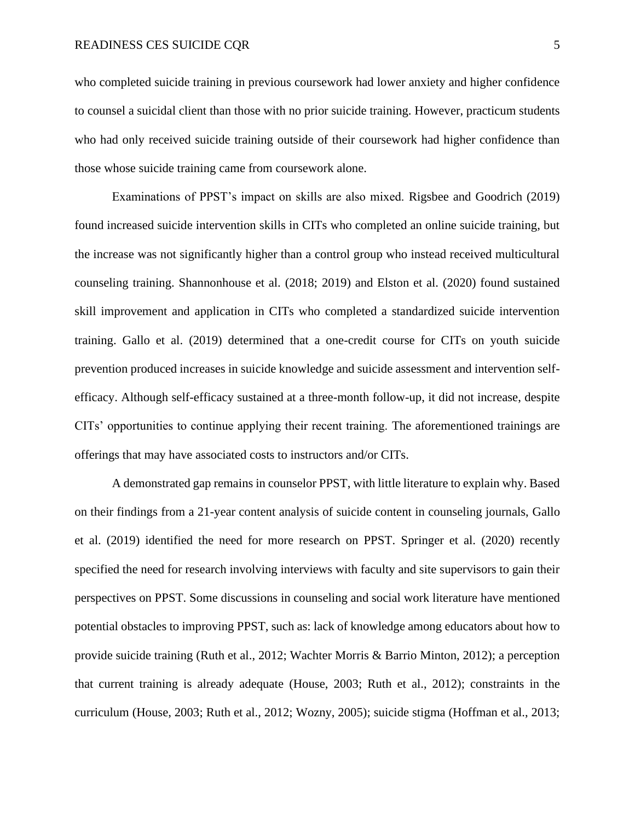who completed suicide training in previous coursework had lower anxiety and higher confidence to counsel a suicidal client than those with no prior suicide training. However, practicum students who had only received suicide training outside of their coursework had higher confidence than those whose suicide training came from coursework alone.

Examinations of PPST's impact on skills are also mixed. Rigsbee and Goodrich (2019) found increased suicide intervention skills in CITs who completed an online suicide training, but the increase was not significantly higher than a control group who instead received multicultural counseling training. Shannonhouse et al. (2018; 2019) and Elston et al. (2020) found sustained skill improvement and application in CITs who completed a standardized suicide intervention training. Gallo et al. (2019) determined that a one-credit course for CITs on youth suicide prevention produced increases in suicide knowledge and suicide assessment and intervention selfefficacy. Although self-efficacy sustained at a three-month follow-up, it did not increase, despite CITs' opportunities to continue applying their recent training. The aforementioned trainings are offerings that may have associated costs to instructors and/or CITs.

A demonstrated gap remains in counselor PPST, with little literature to explain why. Based on their findings from a 21-year content analysis of suicide content in counseling journals, Gallo et al. (2019) identified the need for more research on PPST. Springer et al. (2020) recently specified the need for research involving interviews with faculty and site supervisors to gain their perspectives on PPST. Some discussions in counseling and social work literature have mentioned potential obstacles to improving PPST, such as: lack of knowledge among educators about how to provide suicide training (Ruth et al., 2012; Wachter Morris & Barrio Minton, 2012); a perception that current training is already adequate (House, 2003; Ruth et al., 2012); constraints in the curriculum (House, 2003; Ruth et al., 2012; Wozny, 2005); suicide stigma (Hoffman et al., 2013;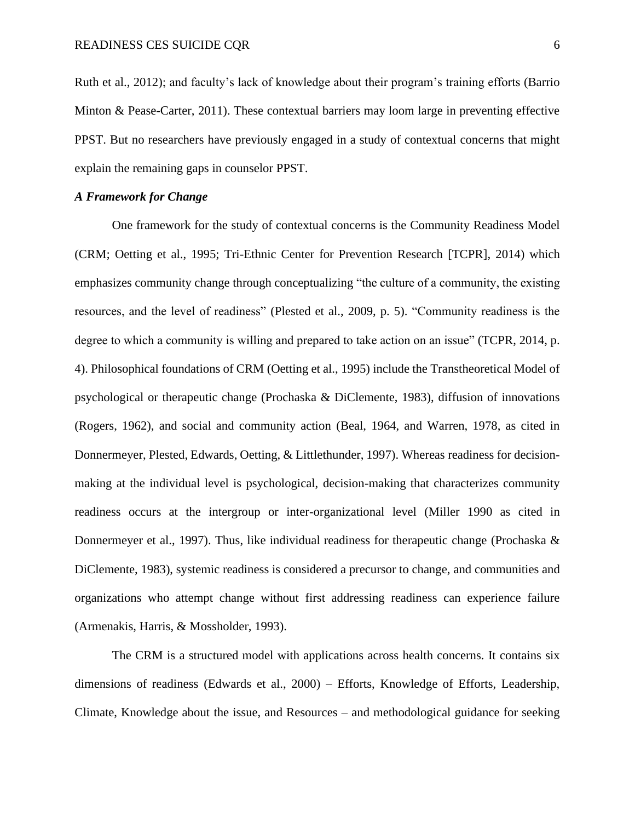Ruth et al., 2012); and faculty's lack of knowledge about their program's training efforts (Barrio Minton & Pease-Carter, 2011). These contextual barriers may loom large in preventing effective PPST. But no researchers have previously engaged in a study of contextual concerns that might explain the remaining gaps in counselor PPST.

#### *A Framework for Change*

One framework for the study of contextual concerns is the Community Readiness Model (CRM; Oetting et al., 1995; Tri-Ethnic Center for Prevention Research [TCPR], 2014) which emphasizes community change through conceptualizing "the culture of a community, the existing resources, and the level of readiness" (Plested et al., 2009, p. 5). "Community readiness is the degree to which a community is willing and prepared to take action on an issue" (TCPR, 2014, p. 4). Philosophical foundations of CRM (Oetting et al., 1995) include the Transtheoretical Model of psychological or therapeutic change (Prochaska & DiClemente, 1983), diffusion of innovations (Rogers, 1962), and social and community action (Beal, 1964, and Warren, 1978, as cited in Donnermeyer, Plested, Edwards, Oetting, & Littlethunder, 1997). Whereas readiness for decisionmaking at the individual level is psychological, decision-making that characterizes community readiness occurs at the intergroup or inter-organizational level (Miller 1990 as cited in Donnermeyer et al., 1997). Thus, like individual readiness for the rapeutic change (Prochaska  $\&$ DiClemente, 1983), systemic readiness is considered a precursor to change, and communities and organizations who attempt change without first addressing readiness can experience failure (Armenakis, Harris, & Mossholder, 1993).

The CRM is a structured model with applications across health concerns. It contains six dimensions of readiness (Edwards et al., 2000) – Efforts, Knowledge of Efforts, Leadership, Climate, Knowledge about the issue, and Resources – and methodological guidance for seeking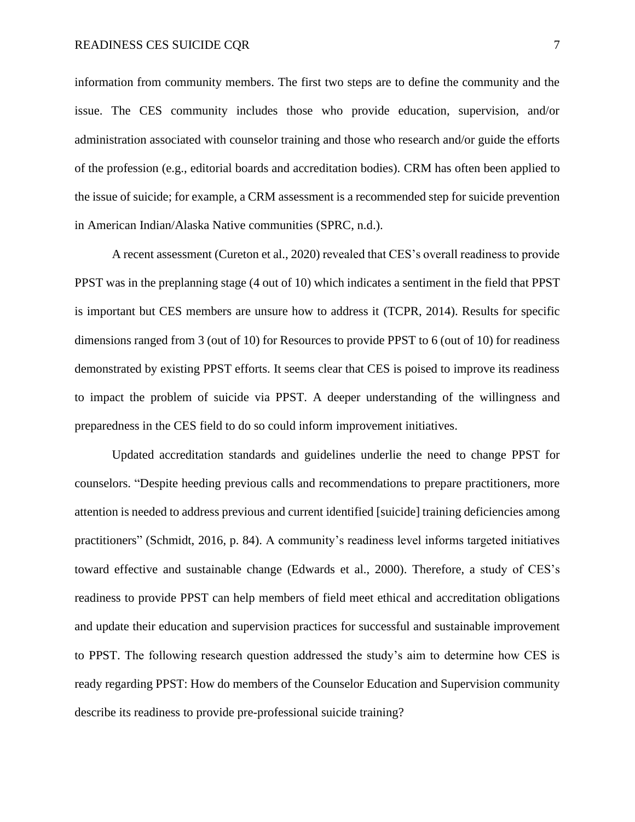information from community members. The first two steps are to define the community and the issue. The CES community includes those who provide education, supervision, and/or administration associated with counselor training and those who research and/or guide the efforts of the profession (e.g., editorial boards and accreditation bodies). CRM has often been applied to the issue of suicide; for example, a CRM assessment is a recommended step for suicide prevention in American Indian/Alaska Native communities (SPRC, n.d.).

A recent assessment (Cureton et al., 2020) revealed that CES's overall readiness to provide PPST was in the preplanning stage (4 out of 10) which indicates a sentiment in the field that PPST is important but CES members are unsure how to address it (TCPR, 2014). Results for specific dimensions ranged from 3 (out of 10) for Resources to provide PPST to 6 (out of 10) for readiness demonstrated by existing PPST efforts. It seems clear that CES is poised to improve its readiness to impact the problem of suicide via PPST. A deeper understanding of the willingness and preparedness in the CES field to do so could inform improvement initiatives.

Updated accreditation standards and guidelines underlie the need to change PPST for counselors. "Despite heeding previous calls and recommendations to prepare practitioners, more attention is needed to address previous and current identified [suicide] training deficiencies among practitioners" (Schmidt, 2016, p. 84). A community's readiness level informs targeted initiatives toward effective and sustainable change (Edwards et al., 2000). Therefore, a study of CES's readiness to provide PPST can help members of field meet ethical and accreditation obligations and update their education and supervision practices for successful and sustainable improvement to PPST. The following research question addressed the study's aim to determine how CES is ready regarding PPST: How do members of the Counselor Education and Supervision community describe its readiness to provide pre-professional suicide training?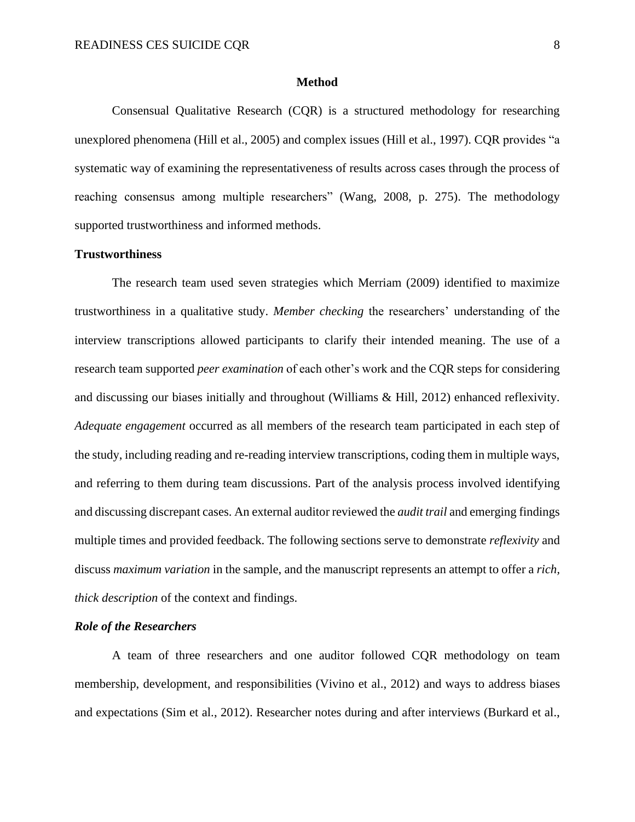#### **Method**

Consensual Qualitative Research (CQR) is a structured methodology for researching unexplored phenomena (Hill et al., 2005) and complex issues (Hill et al., 1997). CQR provides "a systematic way of examining the representativeness of results across cases through the process of reaching consensus among multiple researchers" (Wang, 2008, p. 275). The methodology supported trustworthiness and informed methods.

## **Trustworthiness**

The research team used seven strategies which Merriam (2009) identified to maximize trustworthiness in a qualitative study. *Member checking* the researchers' understanding of the interview transcriptions allowed participants to clarify their intended meaning. The use of a research team supported *peer examination* of each other's work and the CQR steps for considering and discussing our biases initially and throughout (Williams & Hill, 2012) enhanced reflexivity. *Adequate engagement* occurred as all members of the research team participated in each step of the study, including reading and re-reading interview transcriptions, coding them in multiple ways, and referring to them during team discussions. Part of the analysis process involved identifying and discussing discrepant cases. An external auditor reviewed the *audit trail* and emerging findings multiple times and provided feedback. The following sections serve to demonstrate *reflexivity* and discuss *maximum variation* in the sample, and the manuscript represents an attempt to offer a *rich, thick description* of the context and findings.

#### *Role of the Researchers*

A team of three researchers and one auditor followed CQR methodology on team membership, development, and responsibilities (Vivino et al., 2012) and ways to address biases and expectations (Sim et al., 2012). Researcher notes during and after interviews (Burkard et al.,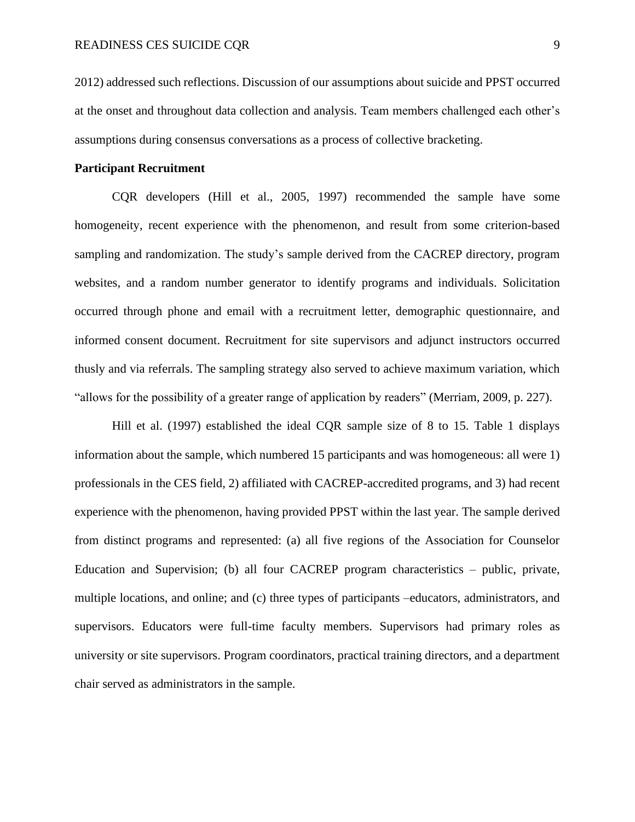2012) addressed such reflections. Discussion of our assumptions about suicide and PPST occurred at the onset and throughout data collection and analysis. Team members challenged each other's assumptions during consensus conversations as a process of collective bracketing.

#### **Participant Recruitment**

CQR developers (Hill et al., 2005, 1997) recommended the sample have some homogeneity, recent experience with the phenomenon, and result from some criterion-based sampling and randomization. The study's sample derived from the CACREP directory, program websites, and a random number generator to identify programs and individuals. Solicitation occurred through phone and email with a recruitment letter, demographic questionnaire, and informed consent document. Recruitment for site supervisors and adjunct instructors occurred thusly and via referrals. The sampling strategy also served to achieve maximum variation, which "allows for the possibility of a greater range of application by readers" (Merriam, 2009, p. 227).

Hill et al. (1997) established the ideal CQR sample size of 8 to 15. Table 1 displays information about the sample, which numbered 15 participants and was homogeneous: all were 1) professionals in the CES field, 2) affiliated with CACREP-accredited programs, and 3) had recent experience with the phenomenon, having provided PPST within the last year. The sample derived from distinct programs and represented: (a) all five regions of the Association for Counselor Education and Supervision; (b) all four CACREP program characteristics – public, private, multiple locations, and online; and (c) three types of participants –educators, administrators, and supervisors. Educators were full-time faculty members. Supervisors had primary roles as university or site supervisors. Program coordinators, practical training directors, and a department chair served as administrators in the sample.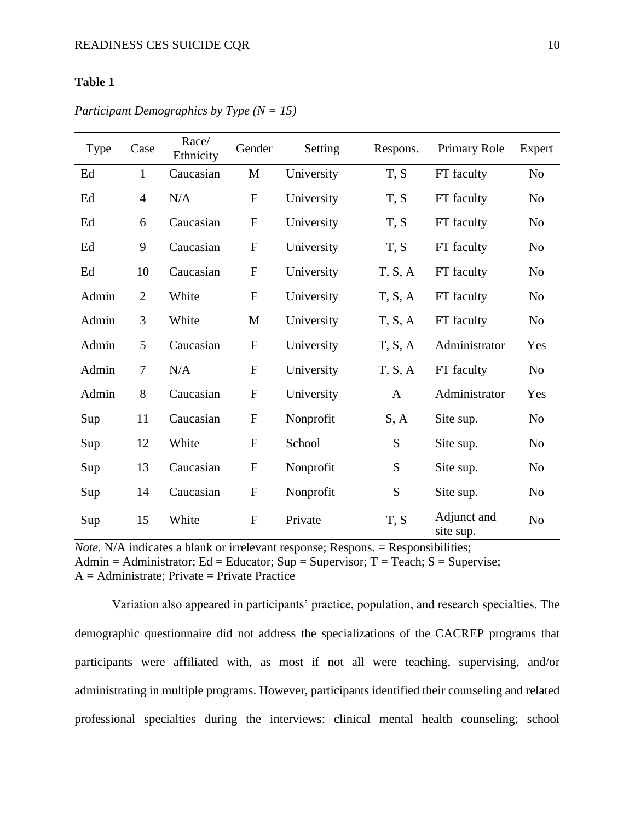# **Table 1**

| <b>Type</b> | Case           | Race/<br>Ethnicity | Gender      | Setting    | Respons.     | <b>Primary Role</b>      | Expert         |
|-------------|----------------|--------------------|-------------|------------|--------------|--------------------------|----------------|
| Ed          | $\mathbf{1}$   | Caucasian          | M           | University | T, S         | FT faculty               | No             |
| Ed          | $\overline{4}$ | N/A                | ${\bf F}$   | University | T, S         | FT faculty               | N <sub>o</sub> |
| Ed          | 6              | Caucasian          | ${\bf F}$   | University | T, S         | FT faculty               | No             |
| Ed          | 9              | Caucasian          | ${\bf F}$   | University | T, S         | FT faculty               | No             |
| Ed          | 10             | Caucasian          | $\mathbf F$ | University | T, S, A      | FT faculty               | No             |
| Admin       | $\mathfrak{2}$ | White              | ${\bf F}$   | University | T, S, A      | FT faculty               | N <sub>o</sub> |
| Admin       | 3              | White              | M           | University | T, S, A      | FT faculty               | N <sub>o</sub> |
| Admin       | 5              | Caucasian          | ${\bf F}$   | University | T, S, A      | Administrator            | Yes            |
| Admin       | $\overline{7}$ | N/A                | ${\bf F}$   | University | T, S, A      | FT faculty               | No             |
| Admin       | 8              | Caucasian          | ${\bf F}$   | University | $\mathbf{A}$ | Administrator            | Yes            |
| Sup         | 11             | Caucasian          | ${\bf F}$   | Nonprofit  | S, A         | Site sup.                | N <sub>o</sub> |
| Sup         | 12             | White              | ${\bf F}$   | School     | ${\bf S}$    | Site sup.                | No             |
| Sup         | 13             | Caucasian          | ${\bf F}$   | Nonprofit  | ${\bf S}$    | Site sup.                | N <sub>o</sub> |
| Sup         | 14             | Caucasian          | $\mathbf F$ | Nonprofit  | S            | Site sup.                | N <sub>o</sub> |
| Sup         | 15             | White              | ${\bf F}$   | Private    | T, S         | Adjunct and<br>site sup. | No             |

*Participant Demographics by Type (N = 15)*

*Note.* N/A indicates a blank or irrelevant response; Respons. = Responsibilities; Admin = Administrator; Ed = Educator; Sup = Supervisor; T = Teach; S = Supervise;  $A =$  Administrate; Private = Private Practice

Variation also appeared in participants' practice, population, and research specialties. The demographic questionnaire did not address the specializations of the CACREP programs that participants were affiliated with, as most if not all were teaching, supervising, and/or administrating in multiple programs. However, participants identified their counseling and related professional specialties during the interviews: clinical mental health counseling; school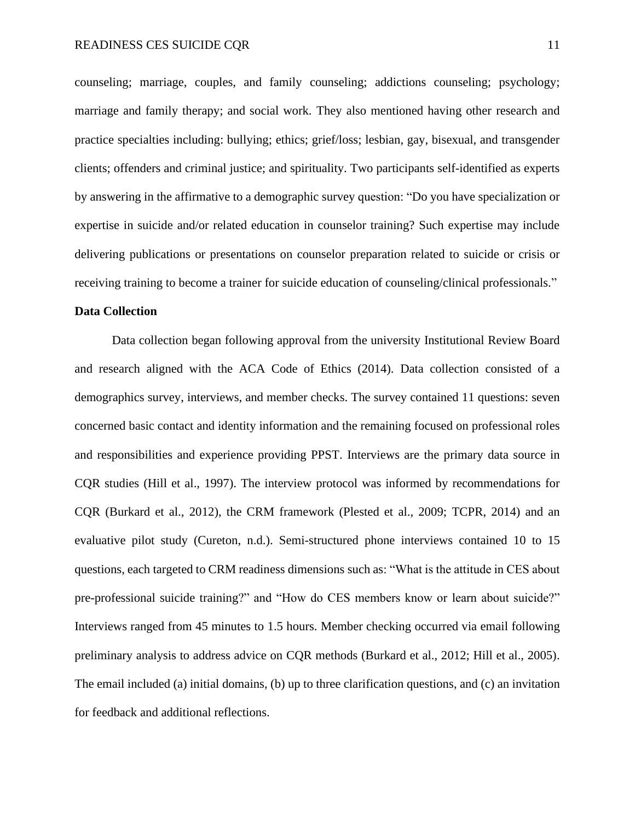counseling; marriage, couples, and family counseling; addictions counseling; psychology; marriage and family therapy; and social work. They also mentioned having other research and practice specialties including: bullying; ethics; grief/loss; lesbian, gay, bisexual, and transgender clients; offenders and criminal justice; and spirituality. Two participants self-identified as experts by answering in the affirmative to a demographic survey question: "Do you have specialization or expertise in suicide and/or related education in counselor training? Such expertise may include delivering publications or presentations on counselor preparation related to suicide or crisis or receiving training to become a trainer for suicide education of counseling/clinical professionals."

#### **Data Collection**

Data collection began following approval from the university Institutional Review Board and research aligned with the ACA Code of Ethics (2014). Data collection consisted of a demographics survey, interviews, and member checks. The survey contained 11 questions: seven concerned basic contact and identity information and the remaining focused on professional roles and responsibilities and experience providing PPST. Interviews are the primary data source in CQR studies (Hill et al., 1997). The interview protocol was informed by recommendations for CQR (Burkard et al., 2012), the CRM framework (Plested et al., 2009; TCPR, 2014) and an evaluative pilot study (Cureton, n.d.). Semi-structured phone interviews contained 10 to 15 questions, each targeted to CRM readiness dimensions such as: "What is the attitude in CES about pre-professional suicide training?" and "How do CES members know or learn about suicide?" Interviews ranged from 45 minutes to 1.5 hours. Member checking occurred via email following preliminary analysis to address advice on CQR methods (Burkard et al., 2012; Hill et al., 2005). The email included (a) initial domains, (b) up to three clarification questions, and (c) an invitation for feedback and additional reflections.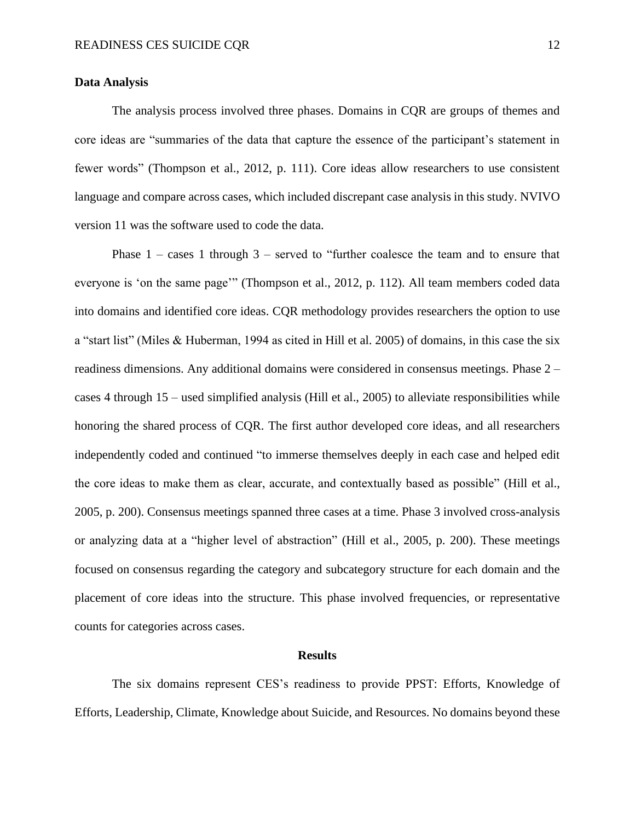#### **Data Analysis**

The analysis process involved three phases. Domains in CQR are groups of themes and core ideas are "summaries of the data that capture the essence of the participant's statement in fewer words" (Thompson et al., 2012, p. 111). Core ideas allow researchers to use consistent language and compare across cases, which included discrepant case analysis in this study. NVIVO version 11 was the software used to code the data.

Phase 1 – cases 1 through 3 – served to "further coalesce the team and to ensure that everyone is 'on the same page'" (Thompson et al., 2012, p. 112). All team members coded data into domains and identified core ideas. CQR methodology provides researchers the option to use a "start list" (Miles & Huberman, 1994 as cited in Hill et al. 2005) of domains, in this case the six readiness dimensions. Any additional domains were considered in consensus meetings. Phase 2 – cases 4 through 15 – used simplified analysis (Hill et al., 2005) to alleviate responsibilities while honoring the shared process of CQR. The first author developed core ideas, and all researchers independently coded and continued "to immerse themselves deeply in each case and helped edit the core ideas to make them as clear, accurate, and contextually based as possible" (Hill et al., 2005, p. 200). Consensus meetings spanned three cases at a time. Phase 3 involved cross-analysis or analyzing data at a "higher level of abstraction" (Hill et al., 2005, p. 200). These meetings focused on consensus regarding the category and subcategory structure for each domain and the placement of core ideas into the structure. This phase involved frequencies, or representative counts for categories across cases.

#### **Results**

The six domains represent CES's readiness to provide PPST: Efforts, Knowledge of Efforts, Leadership, Climate, Knowledge about Suicide, and Resources. No domains beyond these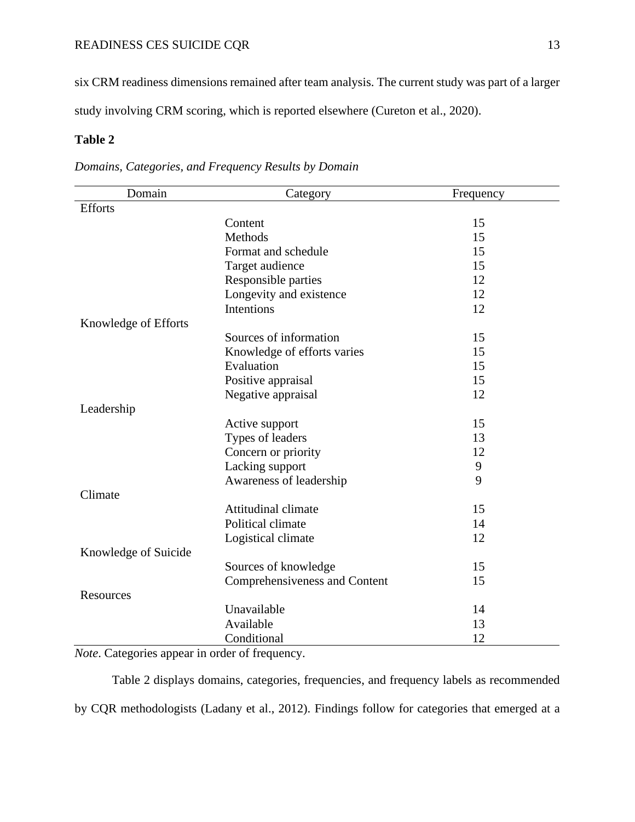# READINESS CES SUICIDE CQR 13

six CRM readiness dimensions remained after team analysis. The current study was part of a larger study involving CRM scoring, which is reported elsewhere (Cureton et al., 2020).

# **Table 2**

| Domain               | Category                      | Frequency |
|----------------------|-------------------------------|-----------|
| <b>Efforts</b>       |                               |           |
|                      | Content                       | 15        |
|                      | Methods                       | 15        |
|                      | Format and schedule           | 15        |
|                      | Target audience               | 15        |
|                      | Responsible parties           | 12        |
|                      | Longevity and existence       | 12        |
|                      | <b>Intentions</b>             | 12        |
| Knowledge of Efforts |                               |           |
|                      | Sources of information        | 15        |
|                      | Knowledge of efforts varies   | 15        |
|                      | Evaluation                    | 15        |
|                      | Positive appraisal            | 15        |
|                      | Negative appraisal            | 12        |
| Leadership           |                               |           |
|                      | Active support                | 15        |
|                      | Types of leaders              | 13        |
|                      | Concern or priority           | 12        |
|                      | Lacking support               | 9         |
|                      | Awareness of leadership       | 9         |
| Climate              |                               |           |
|                      | <b>Attitudinal climate</b>    | 15        |
|                      | Political climate             | 14        |
|                      | Logistical climate            | 12        |
| Knowledge of Suicide |                               |           |
|                      | Sources of knowledge          | 15        |
|                      | Comprehensiveness and Content | 15        |
| Resources            |                               |           |
|                      | Unavailable                   | 14        |
|                      | Available                     | 13        |
|                      | Conditional                   | 12        |

*Domains, Categories, and Frequency Results by Domain*

*Note*. Categories appear in order of frequency.

Table 2 displays domains, categories, frequencies, and frequency labels as recommended by CQR methodologists (Ladany et al., 2012). Findings follow for categories that emerged at a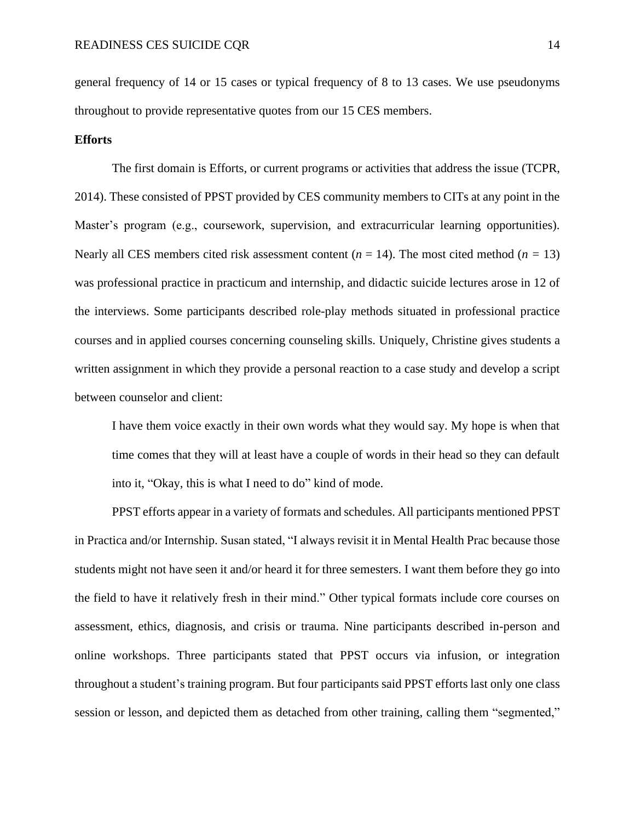general frequency of 14 or 15 cases or typical frequency of 8 to 13 cases. We use pseudonyms throughout to provide representative quotes from our 15 CES members.

#### **Efforts**

The first domain is Efforts, or current programs or activities that address the issue (TCPR, 2014). These consisted of PPST provided by CES community members to CITs at any point in the Master's program (e.g., coursework, supervision, and extracurricular learning opportunities). Nearly all CES members cited risk assessment content  $(n = 14)$ . The most cited method  $(n = 13)$ was professional practice in practicum and internship, and didactic suicide lectures arose in 12 of the interviews. Some participants described role-play methods situated in professional practice courses and in applied courses concerning counseling skills. Uniquely, Christine gives students a written assignment in which they provide a personal reaction to a case study and develop a script between counselor and client:

I have them voice exactly in their own words what they would say. My hope is when that time comes that they will at least have a couple of words in their head so they can default into it, "Okay, this is what I need to do" kind of mode.

PPST efforts appear in a variety of formats and schedules. All participants mentioned PPST in Practica and/or Internship. Susan stated, "I always revisit it in Mental Health Prac because those students might not have seen it and/or heard it for three semesters. I want them before they go into the field to have it relatively fresh in their mind." Other typical formats include core courses on assessment, ethics, diagnosis, and crisis or trauma. Nine participants described in-person and online workshops. Three participants stated that PPST occurs via infusion, or integration throughout a student's training program. But four participants said PPST efforts last only one class session or lesson, and depicted them as detached from other training, calling them "segmented,"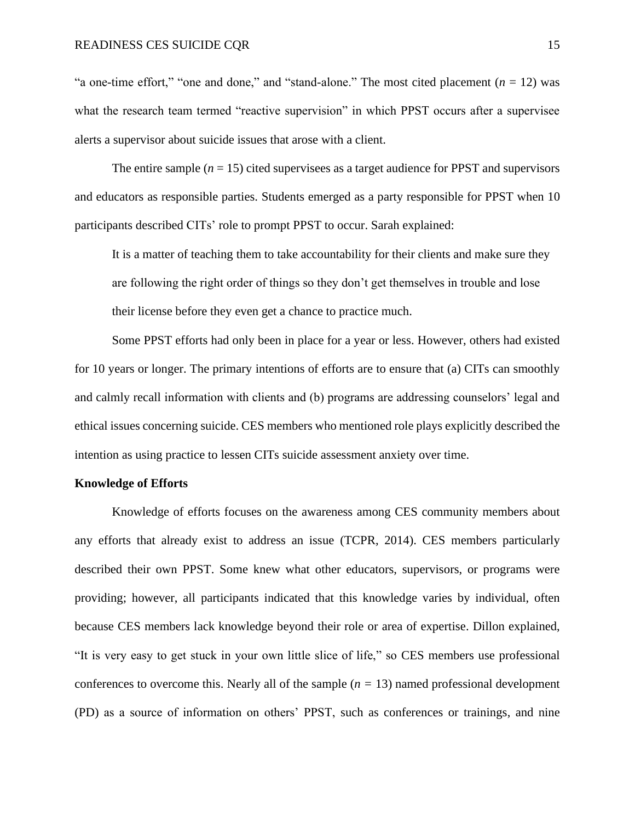"a one-time effort," "one and done," and "stand-alone." The most cited placement  $(n = 12)$  was what the research team termed "reactive supervision" in which PPST occurs after a supervisee alerts a supervisor about suicide issues that arose with a client.

The entire sample  $(n = 15)$  cited supervisees as a target audience for PPST and supervisors and educators as responsible parties. Students emerged as a party responsible for PPST when 10 participants described CITs' role to prompt PPST to occur. Sarah explained:

It is a matter of teaching them to take accountability for their clients and make sure they are following the right order of things so they don't get themselves in trouble and lose their license before they even get a chance to practice much.

Some PPST efforts had only been in place for a year or less. However, others had existed for 10 years or longer. The primary intentions of efforts are to ensure that (a) CITs can smoothly and calmly recall information with clients and (b) programs are addressing counselors' legal and ethical issues concerning suicide. CES members who mentioned role plays explicitly described the intention as using practice to lessen CITs suicide assessment anxiety over time.

#### **Knowledge of Efforts**

Knowledge of efforts focuses on the awareness among CES community members about any efforts that already exist to address an issue (TCPR, 2014). CES members particularly described their own PPST. Some knew what other educators, supervisors, or programs were providing; however, all participants indicated that this knowledge varies by individual, often because CES members lack knowledge beyond their role or area of expertise. Dillon explained, "It is very easy to get stuck in your own little slice of life," so CES members use professional conferences to overcome this. Nearly all of the sample (*n =* 13) named professional development (PD) as a source of information on others' PPST, such as conferences or trainings, and nine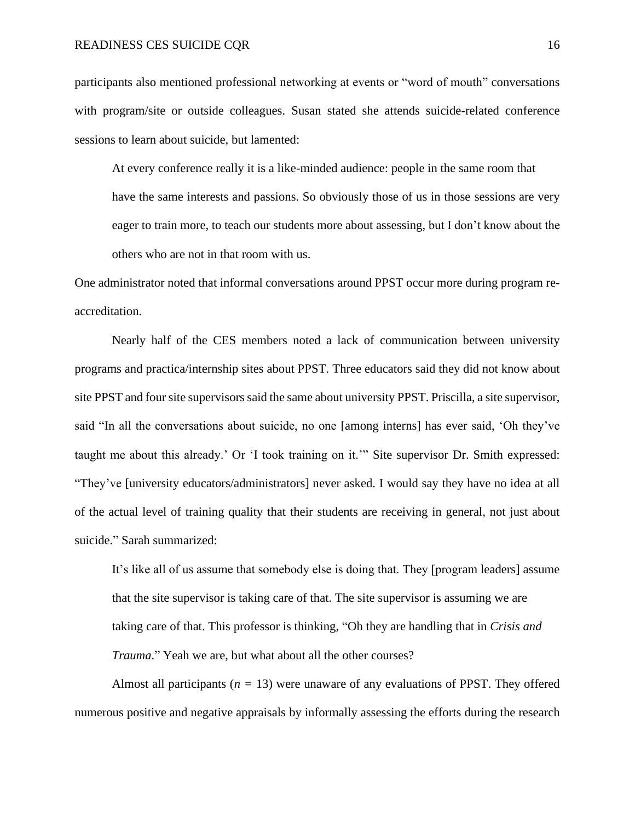#### READINESS CES SUICIDE CQR 16

participants also mentioned professional networking at events or "word of mouth" conversations with program/site or outside colleagues. Susan stated she attends suicide-related conference sessions to learn about suicide, but lamented:

At every conference really it is a like-minded audience: people in the same room that have the same interests and passions. So obviously those of us in those sessions are very eager to train more, to teach our students more about assessing, but I don't know about the others who are not in that room with us.

One administrator noted that informal conversations around PPST occur more during program reaccreditation.

Nearly half of the CES members noted a lack of communication between university programs and practica/internship sites about PPST. Three educators said they did not know about site PPST and four site supervisors said the same about university PPST. Priscilla, a site supervisor, said "In all the conversations about suicide, no one [among interns] has ever said, 'Oh they've taught me about this already.' Or 'I took training on it.'" Site supervisor Dr. Smith expressed: "They've [university educators/administrators] never asked. I would say they have no idea at all of the actual level of training quality that their students are receiving in general, not just about suicide." Sarah summarized:

It's like all of us assume that somebody else is doing that. They [program leaders] assume that the site supervisor is taking care of that. The site supervisor is assuming we are taking care of that. This professor is thinking, "Oh they are handling that in *Crisis and Trauma*." Yeah we are, but what about all the other courses?

Almost all participants (*n =* 13) were unaware of any evaluations of PPST. They offered numerous positive and negative appraisals by informally assessing the efforts during the research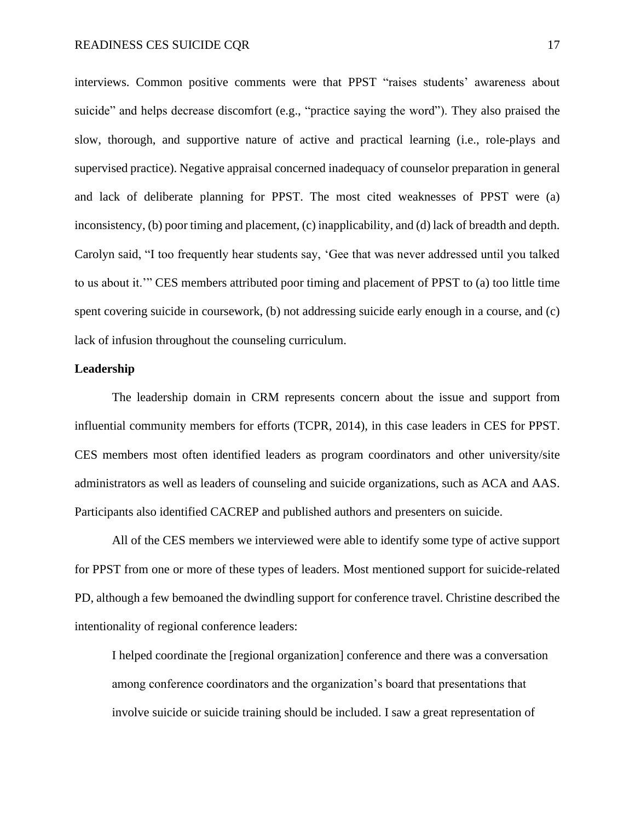interviews. Common positive comments were that PPST "raises students' awareness about suicide" and helps decrease discomfort (e.g., "practice saying the word"). They also praised the slow, thorough, and supportive nature of active and practical learning (i.e., role-plays and supervised practice). Negative appraisal concerned inadequacy of counselor preparation in general and lack of deliberate planning for PPST. The most cited weaknesses of PPST were (a) inconsistency, (b) poor timing and placement, (c) inapplicability, and (d) lack of breadth and depth. Carolyn said, "I too frequently hear students say, 'Gee that was never addressed until you talked to us about it.'" CES members attributed poor timing and placement of PPST to (a) too little time spent covering suicide in coursework, (b) not addressing suicide early enough in a course, and (c) lack of infusion throughout the counseling curriculum.

#### **Leadership**

The leadership domain in CRM represents concern about the issue and support from influential community members for efforts (TCPR, 2014), in this case leaders in CES for PPST. CES members most often identified leaders as program coordinators and other university/site administrators as well as leaders of counseling and suicide organizations, such as ACA and AAS. Participants also identified CACREP and published authors and presenters on suicide.

All of the CES members we interviewed were able to identify some type of active support for PPST from one or more of these types of leaders. Most mentioned support for suicide-related PD, although a few bemoaned the dwindling support for conference travel. Christine described the intentionality of regional conference leaders:

I helped coordinate the [regional organization] conference and there was a conversation among conference coordinators and the organization's board that presentations that involve suicide or suicide training should be included. I saw a great representation of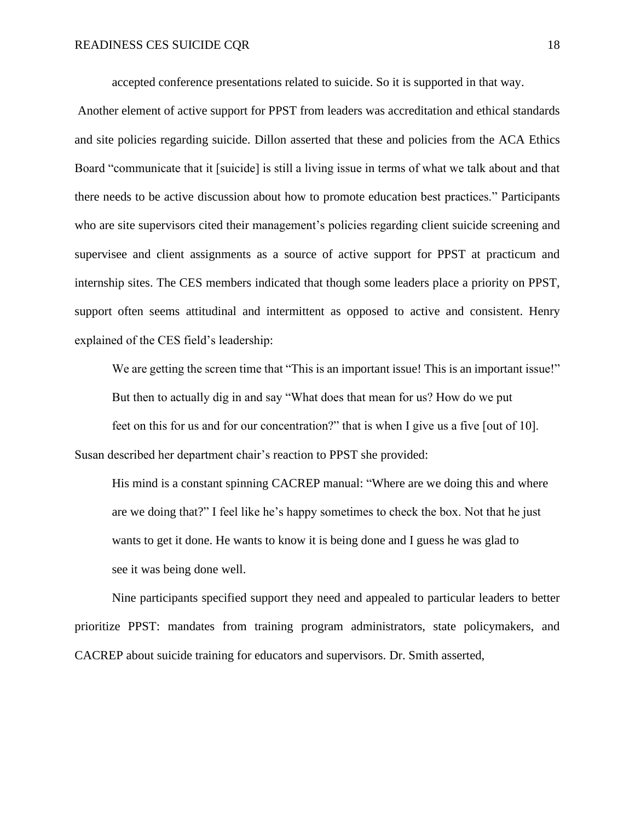accepted conference presentations related to suicide. So it is supported in that way.

Another element of active support for PPST from leaders was accreditation and ethical standards and site policies regarding suicide. Dillon asserted that these and policies from the ACA Ethics Board "communicate that it [suicide] is still a living issue in terms of what we talk about and that there needs to be active discussion about how to promote education best practices." Participants who are site supervisors cited their management's policies regarding client suicide screening and supervisee and client assignments as a source of active support for PPST at practicum and internship sites. The CES members indicated that though some leaders place a priority on PPST, support often seems attitudinal and intermittent as opposed to active and consistent. Henry explained of the CES field's leadership:

We are getting the screen time that "This is an important issue! This is an important issue!" But then to actually dig in and say "What does that mean for us? How do we put feet on this for us and for our concentration?" that is when I give us a five [out of 10]. Susan described her department chair's reaction to PPST she provided:

His mind is a constant spinning CACREP manual: "Where are we doing this and where are we doing that?" I feel like he's happy sometimes to check the box. Not that he just wants to get it done. He wants to know it is being done and I guess he was glad to see it was being done well.

Nine participants specified support they need and appealed to particular leaders to better prioritize PPST: mandates from training program administrators, state policymakers, and CACREP about suicide training for educators and supervisors. Dr. Smith asserted,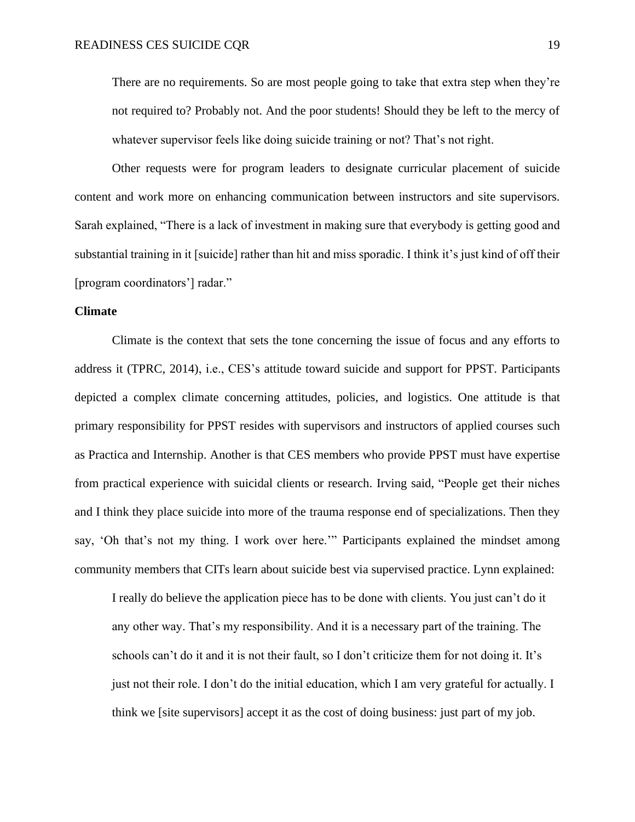There are no requirements. So are most people going to take that extra step when they're not required to? Probably not. And the poor students! Should they be left to the mercy of whatever supervisor feels like doing suicide training or not? That's not right.

Other requests were for program leaders to designate curricular placement of suicide content and work more on enhancing communication between instructors and site supervisors. Sarah explained, "There is a lack of investment in making sure that everybody is getting good and substantial training in it [suicide] rather than hit and miss sporadic. I think it's just kind of off their [program coordinators'] radar."

#### **Climate**

Climate is the context that sets the tone concerning the issue of focus and any efforts to address it (TPRC, 2014), i.e., CES's attitude toward suicide and support for PPST. Participants depicted a complex climate concerning attitudes, policies, and logistics. One attitude is that primary responsibility for PPST resides with supervisors and instructors of applied courses such as Practica and Internship. Another is that CES members who provide PPST must have expertise from practical experience with suicidal clients or research. Irving said, "People get their niches and I think they place suicide into more of the trauma response end of specializations. Then they say, 'Oh that's not my thing. I work over here.'" Participants explained the mindset among community members that CITs learn about suicide best via supervised practice. Lynn explained:

I really do believe the application piece has to be done with clients. You just can't do it any other way. That's my responsibility. And it is a necessary part of the training. The schools can't do it and it is not their fault, so I don't criticize them for not doing it. It's just not their role. I don't do the initial education, which I am very grateful for actually. I think we [site supervisors] accept it as the cost of doing business: just part of my job.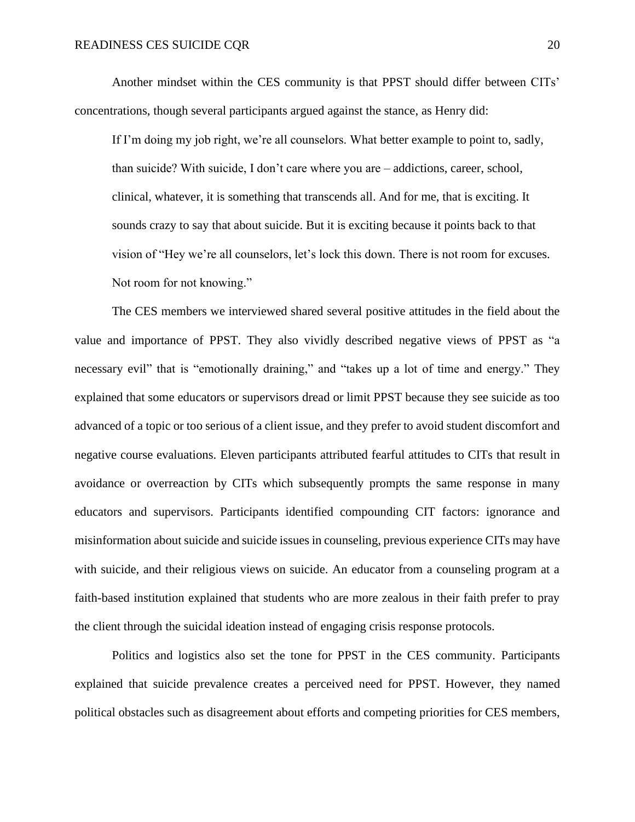Another mindset within the CES community is that PPST should differ between CITs' concentrations, though several participants argued against the stance, as Henry did:

If I'm doing my job right, we're all counselors. What better example to point to, sadly, than suicide? With suicide, I don't care where you are – addictions, career, school, clinical, whatever, it is something that transcends all. And for me, that is exciting. It sounds crazy to say that about suicide. But it is exciting because it points back to that vision of "Hey we're all counselors, let's lock this down. There is not room for excuses. Not room for not knowing."

The CES members we interviewed shared several positive attitudes in the field about the value and importance of PPST. They also vividly described negative views of PPST as "a necessary evil" that is "emotionally draining," and "takes up a lot of time and energy." They explained that some educators or supervisors dread or limit PPST because they see suicide as too advanced of a topic or too serious of a client issue, and they prefer to avoid student discomfort and negative course evaluations. Eleven participants attributed fearful attitudes to CITs that result in avoidance or overreaction by CITs which subsequently prompts the same response in many educators and supervisors. Participants identified compounding CIT factors: ignorance and misinformation about suicide and suicide issues in counseling, previous experience CITs may have with suicide, and their religious views on suicide. An educator from a counseling program at a faith-based institution explained that students who are more zealous in their faith prefer to pray the client through the suicidal ideation instead of engaging crisis response protocols.

Politics and logistics also set the tone for PPST in the CES community. Participants explained that suicide prevalence creates a perceived need for PPST. However, they named political obstacles such as disagreement about efforts and competing priorities for CES members,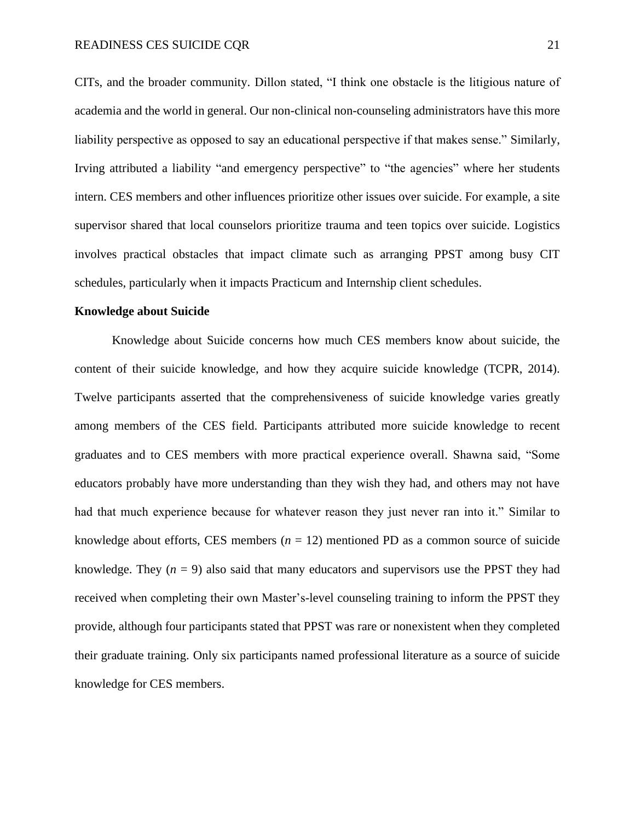CITs, and the broader community. Dillon stated, "I think one obstacle is the litigious nature of academia and the world in general. Our non-clinical non-counseling administrators have this more liability perspective as opposed to say an educational perspective if that makes sense." Similarly, Irving attributed a liability "and emergency perspective" to "the agencies" where her students intern. CES members and other influences prioritize other issues over suicide. For example, a site supervisor shared that local counselors prioritize trauma and teen topics over suicide. Logistics involves practical obstacles that impact climate such as arranging PPST among busy CIT schedules, particularly when it impacts Practicum and Internship client schedules.

#### **Knowledge about Suicide**

Knowledge about Suicide concerns how much CES members know about suicide, the content of their suicide knowledge, and how they acquire suicide knowledge (TCPR, 2014). Twelve participants asserted that the comprehensiveness of suicide knowledge varies greatly among members of the CES field. Participants attributed more suicide knowledge to recent graduates and to CES members with more practical experience overall. Shawna said, "Some educators probably have more understanding than they wish they had, and others may not have had that much experience because for whatever reason they just never ran into it." Similar to knowledge about efforts, CES members  $(n = 12)$  mentioned PD as a common source of suicide knowledge. They  $(n = 9)$  also said that many educators and supervisors use the PPST they had received when completing their own Master's-level counseling training to inform the PPST they provide, although four participants stated that PPST was rare or nonexistent when they completed their graduate training. Only six participants named professional literature as a source of suicide knowledge for CES members.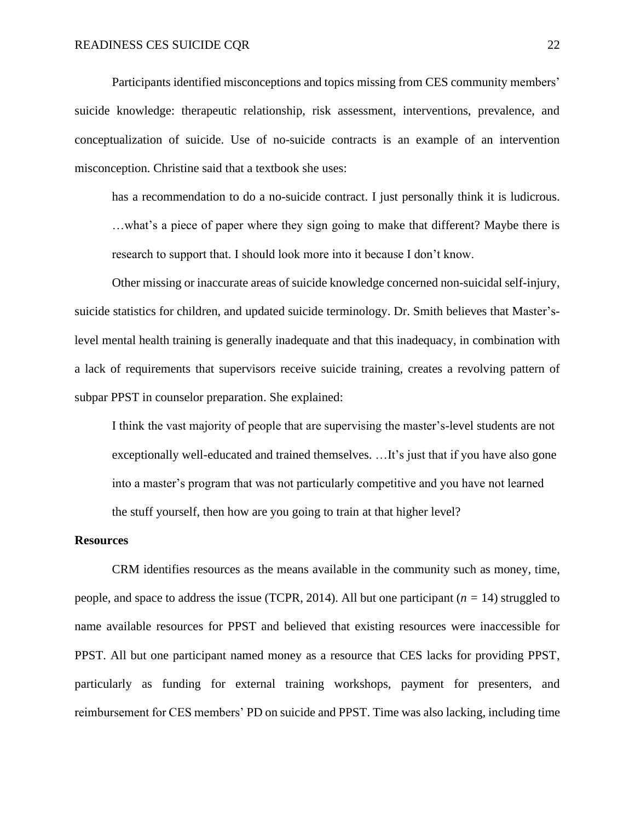Participants identified misconceptions and topics missing from CES community members' suicide knowledge: therapeutic relationship, risk assessment, interventions, prevalence, and conceptualization of suicide. Use of no-suicide contracts is an example of an intervention misconception. Christine said that a textbook she uses:

has a recommendation to do a no-suicide contract. I just personally think it is ludicrous.

…what's a piece of paper where they sign going to make that different? Maybe there is research to support that. I should look more into it because I don't know.

Other missing or inaccurate areas of suicide knowledge concerned non-suicidal self-injury, suicide statistics for children, and updated suicide terminology. Dr. Smith believes that Master'slevel mental health training is generally inadequate and that this inadequacy, in combination with a lack of requirements that supervisors receive suicide training, creates a revolving pattern of subpar PPST in counselor preparation. She explained:

I think the vast majority of people that are supervising the master's-level students are not exceptionally well-educated and trained themselves. …It's just that if you have also gone into a master's program that was not particularly competitive and you have not learned the stuff yourself, then how are you going to train at that higher level?

#### **Resources**

CRM identifies resources as the means available in the community such as money, time, people, and space to address the issue (TCPR, 2014). All but one participant (*n =* 14) struggled to name available resources for PPST and believed that existing resources were inaccessible for PPST. All but one participant named money as a resource that CES lacks for providing PPST, particularly as funding for external training workshops, payment for presenters, and reimbursement for CES members' PD on suicide and PPST. Time was also lacking, including time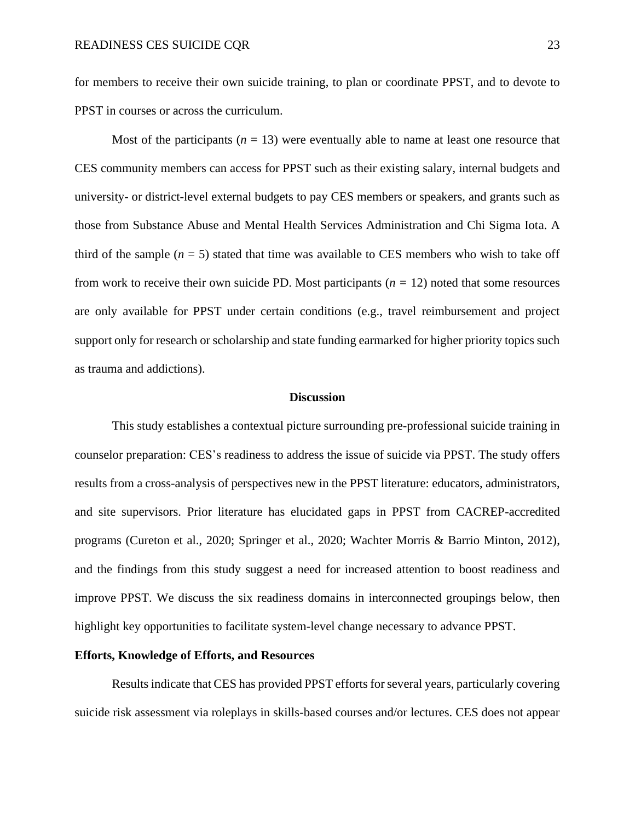for members to receive their own suicide training, to plan or coordinate PPST, and to devote to PPST in courses or across the curriculum.

Most of the participants  $(n = 13)$  were eventually able to name at least one resource that CES community members can access for PPST such as their existing salary, internal budgets and university- or district-level external budgets to pay CES members or speakers, and grants such as those from Substance Abuse and Mental Health Services Administration and Chi Sigma Iota. A third of the sample  $(n = 5)$  stated that time was available to CES members who wish to take off from work to receive their own suicide PD. Most participants (*n =* 12) noted that some resources are only available for PPST under certain conditions (e.g., travel reimbursement and project support only for research or scholarship and state funding earmarked for higher priority topics such as trauma and addictions).

#### **Discussion**

This study establishes a contextual picture surrounding pre-professional suicide training in counselor preparation: CES's readiness to address the issue of suicide via PPST. The study offers results from a cross-analysis of perspectives new in the PPST literature: educators, administrators, and site supervisors. Prior literature has elucidated gaps in PPST from CACREP-accredited programs (Cureton et al., 2020; Springer et al., 2020; Wachter Morris & Barrio Minton, 2012), and the findings from this study suggest a need for increased attention to boost readiness and improve PPST. We discuss the six readiness domains in interconnected groupings below, then highlight key opportunities to facilitate system-level change necessary to advance PPST.

#### **Efforts, Knowledge of Efforts, and Resources**

Results indicate that CES has provided PPST efforts for several years, particularly covering suicide risk assessment via roleplays in skills-based courses and/or lectures. CES does not appear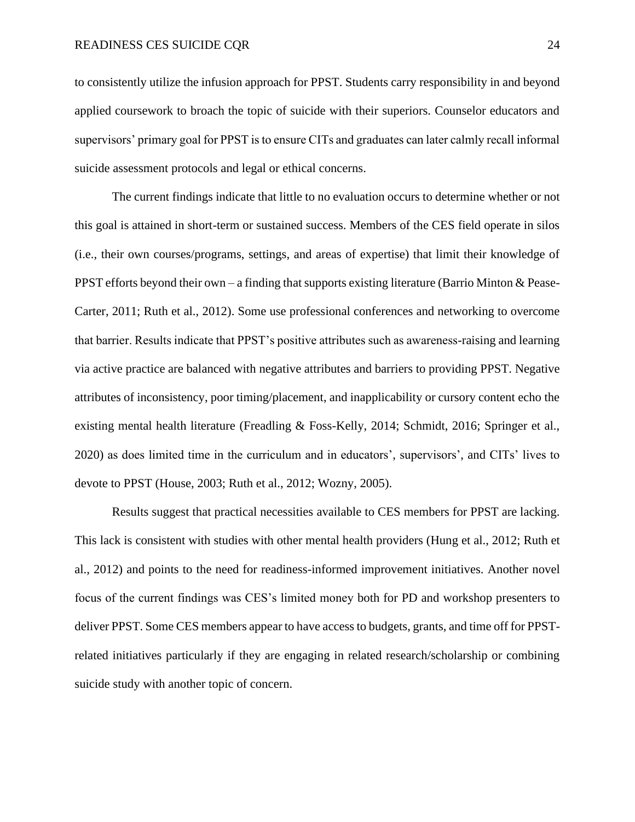to consistently utilize the infusion approach for PPST. Students carry responsibility in and beyond applied coursework to broach the topic of suicide with their superiors. Counselor educators and supervisors' primary goal for PPST is to ensure CITs and graduates can later calmly recall informal suicide assessment protocols and legal or ethical concerns.

The current findings indicate that little to no evaluation occurs to determine whether or not this goal is attained in short-term or sustained success. Members of the CES field operate in silos (i.e., their own courses/programs, settings, and areas of expertise) that limit their knowledge of PPST efforts beyond their own – a finding that supports existing literature (Barrio Minton & Pease-Carter, 2011; Ruth et al., 2012). Some use professional conferences and networking to overcome that barrier. Results indicate that PPST's positive attributes such as awareness-raising and learning via active practice are balanced with negative attributes and barriers to providing PPST. Negative attributes of inconsistency, poor timing/placement, and inapplicability or cursory content echo the existing mental health literature (Freadling & Foss-Kelly, 2014; Schmidt, 2016; Springer et al., 2020) as does limited time in the curriculum and in educators', supervisors', and CITs' lives to devote to PPST (House, 2003; Ruth et al., 2012; Wozny, 2005).

Results suggest that practical necessities available to CES members for PPST are lacking. This lack is consistent with studies with other mental health providers (Hung et al., 2012; Ruth et al., 2012) and points to the need for readiness-informed improvement initiatives. Another novel focus of the current findings was CES's limited money both for PD and workshop presenters to deliver PPST. Some CES members appear to have access to budgets, grants, and time off for PPSTrelated initiatives particularly if they are engaging in related research/scholarship or combining suicide study with another topic of concern.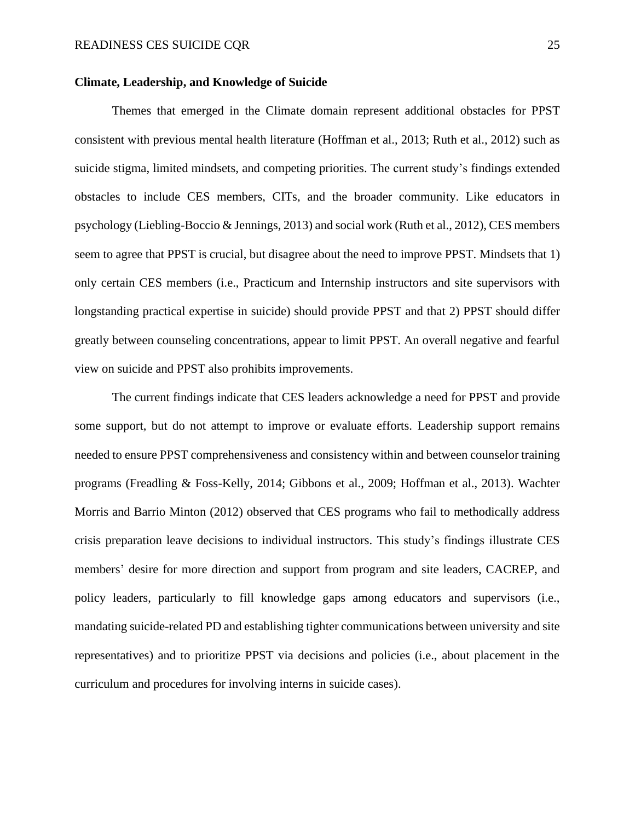#### **Climate, Leadership, and Knowledge of Suicide**

Themes that emerged in the Climate domain represent additional obstacles for PPST consistent with previous mental health literature (Hoffman et al., 2013; Ruth et al., 2012) such as suicide stigma, limited mindsets, and competing priorities. The current study's findings extended obstacles to include CES members, CITs, and the broader community. Like educators in psychology (Liebling-Boccio & Jennings, 2013) and social work (Ruth et al., 2012), CES members seem to agree that PPST is crucial, but disagree about the need to improve PPST. Mindsets that 1) only certain CES members (i.e., Practicum and Internship instructors and site supervisors with longstanding practical expertise in suicide) should provide PPST and that 2) PPST should differ greatly between counseling concentrations, appear to limit PPST. An overall negative and fearful view on suicide and PPST also prohibits improvements.

The current findings indicate that CES leaders acknowledge a need for PPST and provide some support, but do not attempt to improve or evaluate efforts. Leadership support remains needed to ensure PPST comprehensiveness and consistency within and between counselor training programs (Freadling & Foss-Kelly, 2014; Gibbons et al., 2009; Hoffman et al., 2013). Wachter Morris and Barrio Minton (2012) observed that CES programs who fail to methodically address crisis preparation leave decisions to individual instructors. This study's findings illustrate CES members' desire for more direction and support from program and site leaders, CACREP, and policy leaders, particularly to fill knowledge gaps among educators and supervisors (i.e., mandating suicide-related PD and establishing tighter communications between university and site representatives) and to prioritize PPST via decisions and policies (i.e., about placement in the curriculum and procedures for involving interns in suicide cases).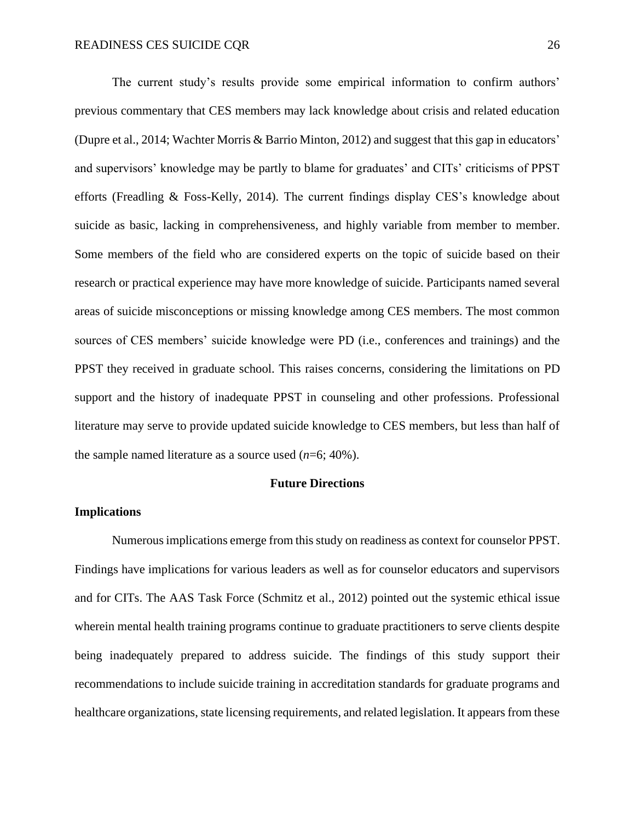The current study's results provide some empirical information to confirm authors' previous commentary that CES members may lack knowledge about crisis and related education (Dupre et al., 2014; Wachter Morris & Barrio Minton, 2012) and suggest that this gap in educators' and supervisors' knowledge may be partly to blame for graduates' and CITs' criticisms of PPST efforts (Freadling & Foss-Kelly, 2014). The current findings display CES's knowledge about suicide as basic, lacking in comprehensiveness, and highly variable from member to member. Some members of the field who are considered experts on the topic of suicide based on their research or practical experience may have more knowledge of suicide. Participants named several areas of suicide misconceptions or missing knowledge among CES members. The most common sources of CES members' suicide knowledge were PD (i.e., conferences and trainings) and the PPST they received in graduate school. This raises concerns, considering the limitations on PD support and the history of inadequate PPST in counseling and other professions. Professional literature may serve to provide updated suicide knowledge to CES members, but less than half of the sample named literature as a source used (*n*=6; 40%).

#### **Future Directions**

#### **Implications**

Numerous implications emerge from this study on readiness as context for counselor PPST. Findings have implications for various leaders as well as for counselor educators and supervisors and for CITs. The AAS Task Force (Schmitz et al., 2012) pointed out the systemic ethical issue wherein mental health training programs continue to graduate practitioners to serve clients despite being inadequately prepared to address suicide. The findings of this study support their recommendations to include suicide training in accreditation standards for graduate programs and healthcare organizations, state licensing requirements, and related legislation. It appears from these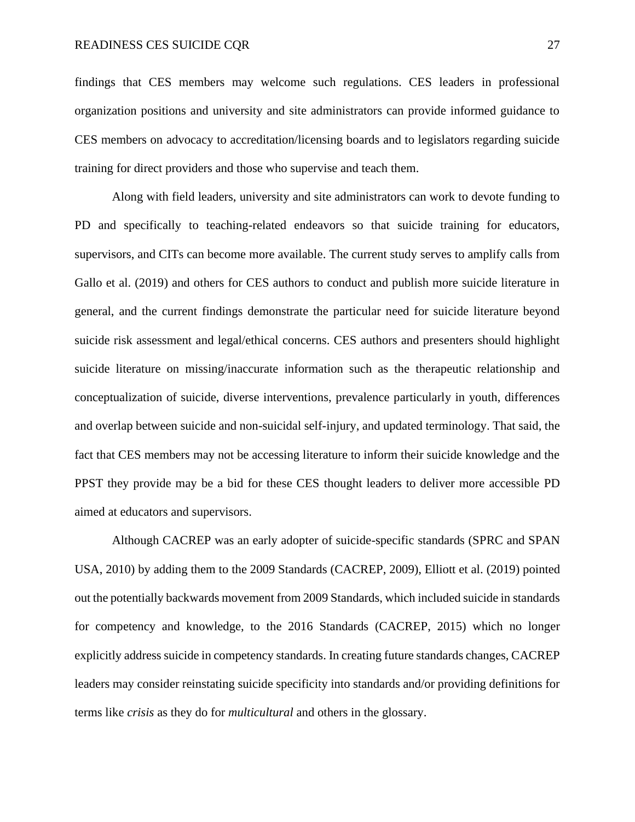#### READINESS CES SUICIDE CQR 27

findings that CES members may welcome such regulations. CES leaders in professional organization positions and university and site administrators can provide informed guidance to CES members on advocacy to accreditation/licensing boards and to legislators regarding suicide training for direct providers and those who supervise and teach them.

Along with field leaders, university and site administrators can work to devote funding to PD and specifically to teaching-related endeavors so that suicide training for educators, supervisors, and CITs can become more available. The current study serves to amplify calls from Gallo et al. (2019) and others for CES authors to conduct and publish more suicide literature in general, and the current findings demonstrate the particular need for suicide literature beyond suicide risk assessment and legal/ethical concerns. CES authors and presenters should highlight suicide literature on missing/inaccurate information such as the therapeutic relationship and conceptualization of suicide, diverse interventions, prevalence particularly in youth, differences and overlap between suicide and non-suicidal self-injury, and updated terminology. That said, the fact that CES members may not be accessing literature to inform their suicide knowledge and the PPST they provide may be a bid for these CES thought leaders to deliver more accessible PD aimed at educators and supervisors.

Although CACREP was an early adopter of suicide-specific standards (SPRC and SPAN USA, 2010) by adding them to the 2009 Standards (CACREP, 2009), Elliott et al. (2019) pointed out the potentially backwards movement from 2009 Standards, which included suicide in standards for competency and knowledge, to the 2016 Standards (CACREP, 2015) which no longer explicitly address suicide in competency standards. In creating future standards changes, CACREP leaders may consider reinstating suicide specificity into standards and/or providing definitions for terms like *crisis* as they do for *multicultural* and others in the glossary.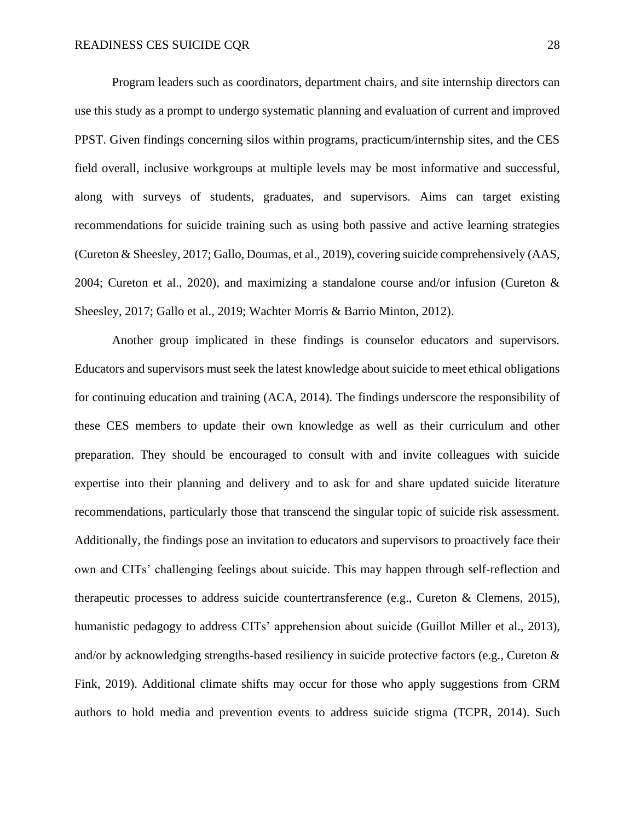Program leaders such as coordinators, department chairs, and site internship directors can use this study as a prompt to undergo systematic planning and evaluation of current and improved PPST. Given findings concerning silos within programs, practicum/internship sites, and the CES field overall, inclusive workgroups at multiple levels may be most informative and successful, along with surveys of students, graduates, and supervisors. Aims can target existing recommendations for suicide training such as using both passive and active learning strategies (Cureton & Sheesley, 2017; Gallo, Doumas, et al., 2019), covering suicide comprehensively (AAS, 2004; Cureton et al., 2020), and maximizing a standalone course and/or infusion (Cureton  $\&$ Sheesley, 2017; Gallo et al., 2019; Wachter Morris & Barrio Minton, 2012).

Another group implicated in these findings is counselor educators and supervisors. Educators and supervisors must seek the latest knowledge about suicide to meet ethical obligations for continuing education and training (ACA, 2014). The findings underscore the responsibility of these CES members to update their own knowledge as well as their curriculum and other preparation. They should be encouraged to consult with and invite colleagues with suicide expertise into their planning and delivery and to ask for and share updated suicide literature recommendations, particularly those that transcend the singular topic of suicide risk assessment. Additionally, the findings pose an invitation to educators and supervisors to proactively face their own and CITs' challenging feelings about suicide. This may happen through self-reflection and therapeutic processes to address suicide countertransference (e.g., Cureton & Clemens, 2015), humanistic pedagogy to address CITs' apprehension about suicide (Guillot Miller et al., 2013), and/or by acknowledging strengths-based resiliency in suicide protective factors (e.g., Cureton & Fink, 2019). Additional climate shifts may occur for those who apply suggestions from CRM authors to hold media and prevention events to address suicide stigma (TCPR, 2014). Such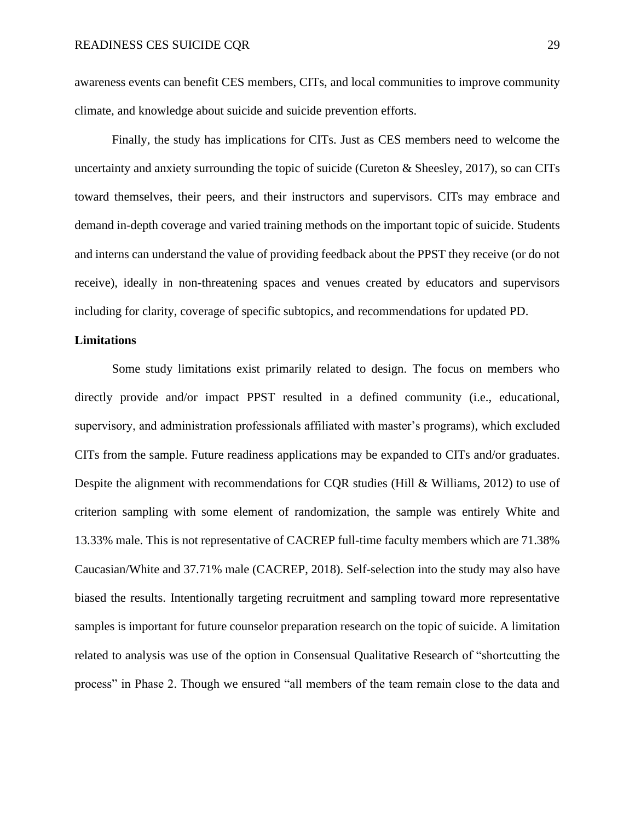awareness events can benefit CES members, CITs, and local communities to improve community climate, and knowledge about suicide and suicide prevention efforts.

Finally, the study has implications for CITs. Just as CES members need to welcome the uncertainty and anxiety surrounding the topic of suicide (Cureton & Sheesley, 2017), so can CITs toward themselves, their peers, and their instructors and supervisors. CITs may embrace and demand in-depth coverage and varied training methods on the important topic of suicide. Students and interns can understand the value of providing feedback about the PPST they receive (or do not receive), ideally in non-threatening spaces and venues created by educators and supervisors including for clarity, coverage of specific subtopics, and recommendations for updated PD.

#### **Limitations**

Some study limitations exist primarily related to design. The focus on members who directly provide and/or impact PPST resulted in a defined community (i.e., educational, supervisory, and administration professionals affiliated with master's programs), which excluded CITs from the sample. Future readiness applications may be expanded to CITs and/or graduates. Despite the alignment with recommendations for CQR studies (Hill & Williams, 2012) to use of criterion sampling with some element of randomization, the sample was entirely White and 13.33% male. This is not representative of CACREP full-time faculty members which are 71.38% Caucasian/White and 37.71% male (CACREP, 2018). Self-selection into the study may also have biased the results. Intentionally targeting recruitment and sampling toward more representative samples is important for future counselor preparation research on the topic of suicide. A limitation related to analysis was use of the option in Consensual Qualitative Research of "shortcutting the process" in Phase 2. Though we ensured "all members of the team remain close to the data and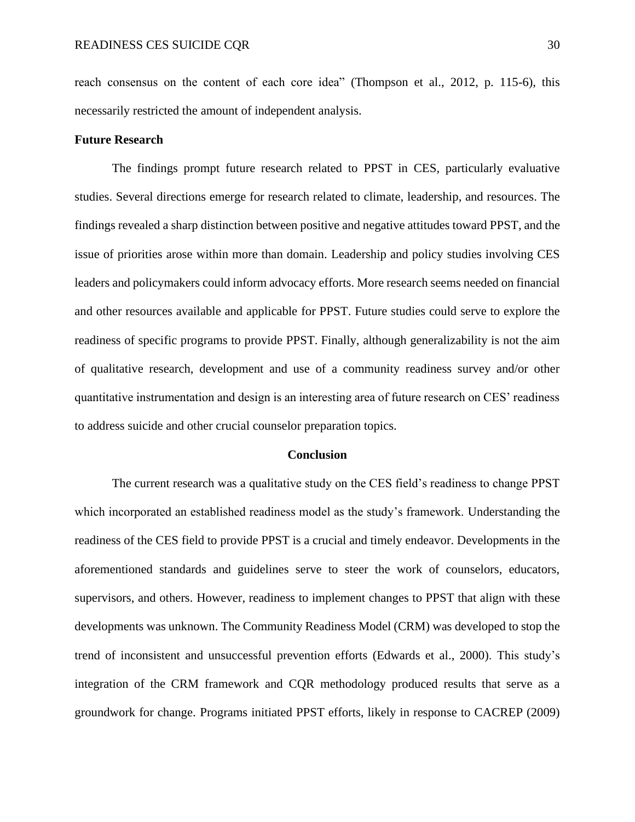reach consensus on the content of each core idea" (Thompson et al., 2012, p. 115-6), this necessarily restricted the amount of independent analysis.

#### **Future Research**

The findings prompt future research related to PPST in CES, particularly evaluative studies. Several directions emerge for research related to climate, leadership, and resources. The findings revealed a sharp distinction between positive and negative attitudes toward PPST, and the issue of priorities arose within more than domain. Leadership and policy studies involving CES leaders and policymakers could inform advocacy efforts. More research seems needed on financial and other resources available and applicable for PPST. Future studies could serve to explore the readiness of specific programs to provide PPST. Finally, although generalizability is not the aim of qualitative research, development and use of a community readiness survey and/or other quantitative instrumentation and design is an interesting area of future research on CES' readiness to address suicide and other crucial counselor preparation topics.

#### **Conclusion**

The current research was a qualitative study on the CES field's readiness to change PPST which incorporated an established readiness model as the study's framework. Understanding the readiness of the CES field to provide PPST is a crucial and timely endeavor. Developments in the aforementioned standards and guidelines serve to steer the work of counselors, educators, supervisors, and others. However, readiness to implement changes to PPST that align with these developments was unknown. The Community Readiness Model (CRM) was developed to stop the trend of inconsistent and unsuccessful prevention efforts (Edwards et al., 2000). This study's integration of the CRM framework and CQR methodology produced results that serve as a groundwork for change. Programs initiated PPST efforts, likely in response to CACREP (2009)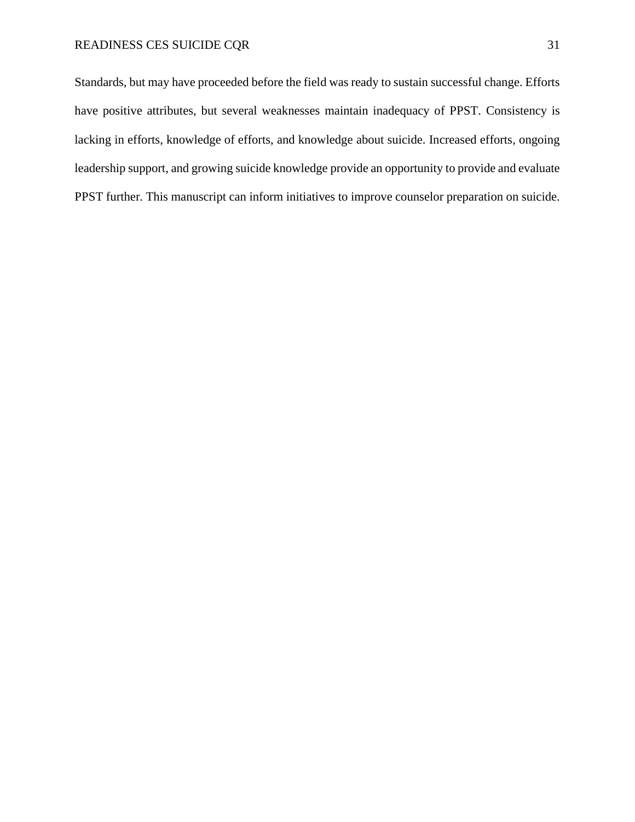# READINESS CES SUICIDE CQR 31

Standards, but may have proceeded before the field was ready to sustain successful change. Efforts have positive attributes, but several weaknesses maintain inadequacy of PPST. Consistency is lacking in efforts, knowledge of efforts, and knowledge about suicide. Increased efforts, ongoing leadership support, and growing suicide knowledge provide an opportunity to provide and evaluate PPST further. This manuscript can inform initiatives to improve counselor preparation on suicide.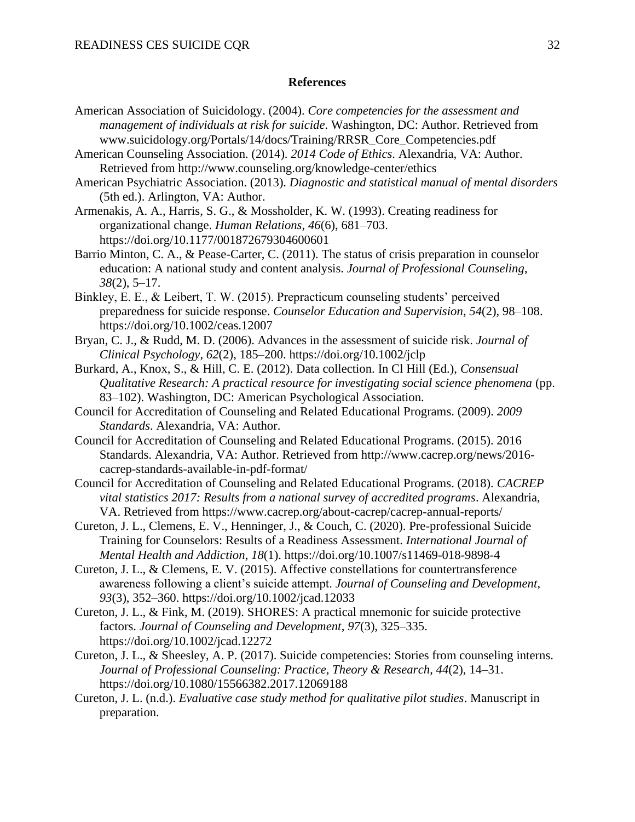#### **References**

- American Association of Suicidology. (2004). *Core competencies for the assessment and management of individuals at risk for suicide*. Washington, DC: Author. Retrieved from www.suicidology.org/Portals/14/docs/Training/RRSR\_Core\_Competencies.pdf
- American Counseling Association. (2014). *2014 Code of Ethics*. Alexandria, VA: Author. Retrieved from http://www.counseling.org/knowledge-center/ethics
- American Psychiatric Association. (2013). *Diagnostic and statistical manual of mental disorders* (5th ed.). Arlington, VA: Author.
- Armenakis, A. A., Harris, S. G., & Mossholder, K. W. (1993). Creating readiness for organizational change. *Human Relations*, *46*(6), 681–703. https://doi.org/10.1177/001872679304600601
- Barrio Minton, C. A., & Pease-Carter, C. (2011). The status of crisis preparation in counselor education: A national study and content analysis. *Journal of Professional Counseling*, *38*(2), 5–17.
- Binkley, E. E., & Leibert, T. W. (2015). Prepracticum counseling students' perceived preparedness for suicide response. *Counselor Education and Supervision*, *54*(2), 98–108. https://doi.org/10.1002/ceas.12007
- Bryan, C. J., & Rudd, M. D. (2006). Advances in the assessment of suicide risk. *Journal of Clinical Psychology*, *62*(2), 185–200. https://doi.org/10.1002/jclp
- Burkard, A., Knox, S., & Hill, C. E. (2012). Data collection. In Cl Hill (Ed.), *Consensual Qualitative Research: A practical resource for investigating social science phenomena* (pp. 83–102). Washington, DC: American Psychological Association.
- Council for Accreditation of Counseling and Related Educational Programs. (2009). *2009 Standards*. Alexandria, VA: Author.
- Council for Accreditation of Counseling and Related Educational Programs. (2015). 2016 Standards. Alexandria, VA: Author. Retrieved from http://www.cacrep.org/news/2016 cacrep-standards-available-in-pdf-format/
- Council for Accreditation of Counseling and Related Educational Programs. (2018). *CACREP vital statistics 2017: Results from a national survey of accredited programs*. Alexandria, VA. Retrieved from https://www.cacrep.org/about-cacrep/cacrep-annual-reports/
- Cureton, J. L., Clemens, E. V., Henninger, J., & Couch, C. (2020). Pre-professional Suicide Training for Counselors: Results of a Readiness Assessment. *International Journal of Mental Health and Addiction*, *18*(1). https://doi.org/10.1007/s11469-018-9898-4
- Cureton, J. L., & Clemens, E. V. (2015). Affective constellations for countertransference awareness following a client's suicide attempt. *Journal of Counseling and Development*, *93*(3), 352–360. https://doi.org/10.1002/jcad.12033
- Cureton, J. L., & Fink, M. (2019). SHORES: A practical mnemonic for suicide protective factors. *Journal of Counseling and Development*, *97*(3), 325–335. https://doi.org/10.1002/jcad.12272
- Cureton, J. L., & Sheesley, A. P. (2017). Suicide competencies: Stories from counseling interns. *Journal of Professional Counseling: Practice, Theory & Research*, *44*(2), 14–31. https://doi.org/10.1080/15566382.2017.12069188
- Cureton, J. L. (n.d.). *Evaluative case study method for qualitative pilot studies*. Manuscript in preparation.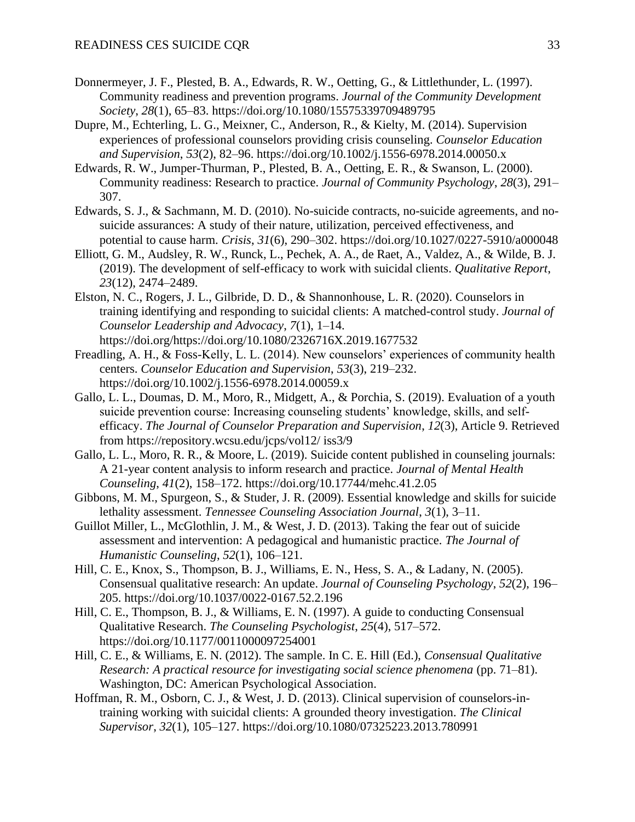- Donnermeyer, J. F., Plested, B. A., Edwards, R. W., Oetting, G., & Littlethunder, L. (1997). Community readiness and prevention programs. *Journal of the Community Development Society*, *28*(1), 65–83. https://doi.org/10.1080/15575339709489795
- Dupre, M., Echterling, L. G., Meixner, C., Anderson, R., & Kielty, M. (2014). Supervision experiences of professional counselors providing crisis counseling. *Counselor Education and Supervision*, *53*(2), 82–96. https://doi.org/10.1002/j.1556-6978.2014.00050.x
- Edwards, R. W., Jumper-Thurman, P., Plested, B. A., Oetting, E. R., & Swanson, L. (2000). Community readiness: Research to practice. *Journal of Community Psychology*, *28*(3), 291– 307.
- Edwards, S. J., & Sachmann, M. D. (2010). No-suicide contracts, no-suicide agreements, and nosuicide assurances: A study of their nature, utilization, perceived effectiveness, and potential to cause harm. *Crisis*, *31*(6), 290–302. https://doi.org/10.1027/0227-5910/a000048
- Elliott, G. M., Audsley, R. W., Runck, L., Pechek, A. A., de Raet, A., Valdez, A., & Wilde, B. J. (2019). The development of self-efficacy to work with suicidal clients. *Qualitative Report*, *23*(12), 2474–2489.
- Elston, N. C., Rogers, J. L., Gilbride, D. D., & Shannonhouse, L. R. (2020). Counselors in training identifying and responding to suicidal clients: A matched-control study. *Journal of Counselor Leadership and Advocacy*, *7*(1), 1–14. https://doi.org/https://doi.org/10.1080/2326716X.2019.1677532
- Freadling, A. H., & Foss-Kelly, L. L. (2014). New counselors' experiences of community health centers. *Counselor Education and Supervision*, *53*(3), 219–232. https://doi.org/10.1002/j.1556-6978.2014.00059.x
- Gallo, L. L., Doumas, D. M., Moro, R., Midgett, A., & Porchia, S. (2019). Evaluation of a youth suicide prevention course: Increasing counseling students' knowledge, skills, and selfefficacy. *The Journal of Counselor Preparation and Supervision*, *12*(3), Article 9. Retrieved from https://repository.wcsu.edu/jcps/vol12/ iss3/9
- Gallo, L. L., Moro, R. R., & Moore, L. (2019). Suicide content published in counseling journals: A 21-year content analysis to inform research and practice. *Journal of Mental Health Counseling*, *41*(2), 158–172. https://doi.org/10.17744/mehc.41.2.05
- Gibbons, M. M., Spurgeon, S., & Studer, J. R. (2009). Essential knowledge and skills for suicide lethality assessment. *Tennessee Counseling Association Journal*, *3*(1), 3–11.
- Guillot Miller, L., McGlothlin, J. M., & West, J. D. (2013). Taking the fear out of suicide assessment and intervention: A pedagogical and humanistic practice. *The Journal of Humanistic Counseling*, *52*(1), 106–121.
- Hill, C. E., Knox, S., Thompson, B. J., Williams, E. N., Hess, S. A., & Ladany, N. (2005). Consensual qualitative research: An update. *Journal of Counseling Psychology*, *52*(2), 196– 205. https://doi.org/10.1037/0022-0167.52.2.196
- Hill, C. E., Thompson, B. J., & Williams, E. N. (1997). A guide to conducting Consensual Qualitative Research. *The Counseling Psychologist*, *25*(4), 517–572. https://doi.org/10.1177/0011000097254001
- Hill, C. E., & Williams, E. N. (2012). The sample. In C. E. Hill (Ed.), *Consensual Qualitative Research: A practical resource for investigating social science phenomena* (pp. 71–81). Washington, DC: American Psychological Association.
- Hoffman, R. M., Osborn, C. J., & West, J. D. (2013). Clinical supervision of counselors-intraining working with suicidal clients: A grounded theory investigation. *The Clinical Supervisor*, *32*(1), 105–127. https://doi.org/10.1080/07325223.2013.780991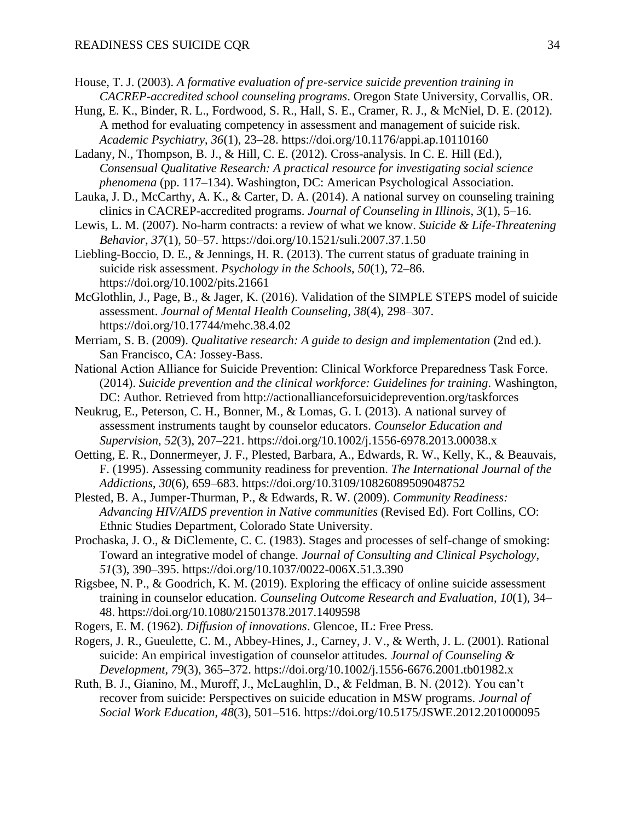- House, T. J. (2003). *A formative evaluation of pre-service suicide prevention training in CACREP-accredited school counseling programs*. Oregon State University, Corvallis, OR.
- Hung, E. K., Binder, R. L., Fordwood, S. R., Hall, S. E., Cramer, R. J., & McNiel, D. E. (2012). A method for evaluating competency in assessment and management of suicide risk. *Academic Psychiatry*, *36*(1), 23–28. https://doi.org/10.1176/appi.ap.10110160
- Ladany, N., Thompson, B. J., & Hill, C. E. (2012). Cross-analysis. In C. E. Hill (Ed.), *Consensual Qualitative Research: A practical resource for investigating social science phenomena* (pp. 117–134). Washington, DC: American Psychological Association.
- Lauka, J. D., McCarthy, A. K., & Carter, D. A. (2014). A national survey on counseling training clinics in CACREP-accredited programs. *Journal of Counseling in Illinois*, *3*(1), 5–16.
- Lewis, L. M. (2007). No-harm contracts: a review of what we know. *Suicide & Life-Threatening Behavior*, *37*(1), 50–57. https://doi.org/10.1521/suli.2007.37.1.50
- Liebling-Boccio, D. E., & Jennings, H. R. (2013). The current status of graduate training in suicide risk assessment. *Psychology in the Schools*, *50*(1), 72–86. https://doi.org/10.1002/pits.21661
- McGlothlin, J., Page, B., & Jager, K. (2016). Validation of the SIMPLE STEPS model of suicide assessment. *Journal of Mental Health Counseling*, *38*(4), 298–307. https://doi.org/10.17744/mehc.38.4.02
- Merriam, S. B. (2009). *Qualitative research: A guide to design and implementation* (2nd ed.). San Francisco, CA: Jossey-Bass.
- National Action Alliance for Suicide Prevention: Clinical Workforce Preparedness Task Force. (2014). *Suicide prevention and the clinical workforce: Guidelines for training*. Washington, DC: Author. Retrieved from http://actionallianceforsuicideprevention.org/taskforces
- Neukrug, E., Peterson, C. H., Bonner, M., & Lomas, G. I. (2013). A national survey of assessment instruments taught by counselor educators. *Counselor Education and Supervision*, *52*(3), 207–221. https://doi.org/10.1002/j.1556-6978.2013.00038.x
- Oetting, E. R., Donnermeyer, J. F., Plested, Barbara, A., Edwards, R. W., Kelly, K., & Beauvais, F. (1995). Assessing community readiness for prevention. *The International Journal of the Addictions*, *30*(6), 659–683. https://doi.org/10.3109/10826089509048752
- Plested, B. A., Jumper-Thurman, P., & Edwards, R. W. (2009). *Community Readiness: Advancing HIV/AIDS prevention in Native communities* (Revised Ed). Fort Collins, CO: Ethnic Studies Department, Colorado State University.
- Prochaska, J. O., & DiClemente, C. C. (1983). Stages and processes of self-change of smoking: Toward an integrative model of change. *Journal of Consulting and Clinical Psychology*, *51*(3), 390–395. https://doi.org/10.1037/0022-006X.51.3.390
- Rigsbee, N. P., & Goodrich, K. M. (2019). Exploring the efficacy of online suicide assessment training in counselor education. *Counseling Outcome Research and Evaluation*, *10*(1), 34– 48. https://doi.org/10.1080/21501378.2017.1409598
- Rogers, E. M. (1962). *Diffusion of innovations*. Glencoe, IL: Free Press.
- Rogers, J. R., Gueulette, C. M., Abbey-Hines, J., Carney, J. V., & Werth, J. L. (2001). Rational suicide: An empirical investigation of counselor attitudes. *Journal of Counseling & Development*, *79*(3), 365–372. https://doi.org/10.1002/j.1556-6676.2001.tb01982.x
- Ruth, B. J., Gianino, M., Muroff, J., McLaughlin, D., & Feldman, B. N. (2012). You can't recover from suicide: Perspectives on suicide education in MSW programs. *Journal of Social Work Education*, *48*(3), 501–516. https://doi.org/10.5175/JSWE.2012.201000095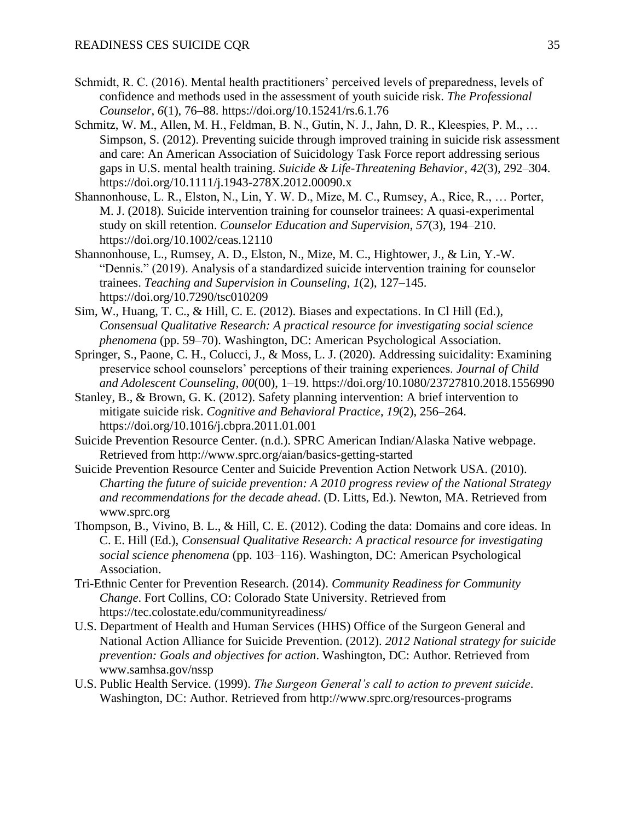- Schmidt, R. C. (2016). Mental health practitioners' perceived levels of preparedness, levels of confidence and methods used in the assessment of youth suicide risk. *The Professional Counselor*, *6*(1), 76–88. https://doi.org/10.15241/rs.6.1.76
- Schmitz, W. M., Allen, M. H., Feldman, B. N., Gutin, N. J., Jahn, D. R., Kleespies, P. M., … Simpson, S. (2012). Preventing suicide through improved training in suicide risk assessment and care: An American Association of Suicidology Task Force report addressing serious gaps in U.S. mental health training. *Suicide & Life-Threatening Behavior*, *42*(3), 292–304. https://doi.org/10.1111/j.1943-278X.2012.00090.x
- Shannonhouse, L. R., Elston, N., Lin, Y. W. D., Mize, M. C., Rumsey, A., Rice, R., … Porter, M. J. (2018). Suicide intervention training for counselor trainees: A quasi-experimental study on skill retention. *Counselor Education and Supervision*, *57*(3), 194–210. https://doi.org/10.1002/ceas.12110
- Shannonhouse, L., Rumsey, A. D., Elston, N., Mize, M. C., Hightower, J., & Lin, Y.-W. "Dennis." (2019). Analysis of a standardized suicide intervention training for counselor trainees. *Teaching and Supervision in Counseling*, *1*(2), 127–145. https://doi.org/10.7290/tsc010209
- Sim, W., Huang, T. C., & Hill, C. E. (2012). Biases and expectations. In Cl Hill (Ed.), *Consensual Qualitative Research: A practical resource for investigating social science phenomena* (pp. 59–70). Washington, DC: American Psychological Association.
- Springer, S., Paone, C. H., Colucci, J., & Moss, L. J. (2020). Addressing suicidality: Examining preservice school counselors' perceptions of their training experiences. *Journal of Child and Adolescent Counseling*, *00*(00), 1–19. https://doi.org/10.1080/23727810.2018.1556990
- Stanley, B., & Brown, G. K. (2012). Safety planning intervention: A brief intervention to mitigate suicide risk. *Cognitive and Behavioral Practice*, *19*(2), 256–264. https://doi.org/10.1016/j.cbpra.2011.01.001
- Suicide Prevention Resource Center. (n.d.). SPRC American Indian/Alaska Native webpage. Retrieved from http://www.sprc.org/aian/basics-getting-started
- Suicide Prevention Resource Center and Suicide Prevention Action Network USA. (2010). *Charting the future of suicide prevention: A 2010 progress review of the National Strategy and recommendations for the decade ahead*. (D. Litts, Ed.). Newton, MA. Retrieved from www.sprc.org
- Thompson, B., Vivino, B. L., & Hill, C. E. (2012). Coding the data: Domains and core ideas. In C. E. Hill (Ed.), *Consensual Qualitative Research: A practical resource for investigating social science phenomena* (pp. 103–116). Washington, DC: American Psychological Association.
- Tri-Ethnic Center for Prevention Research. (2014). *Community Readiness for Community Change*. Fort Collins, CO: Colorado State University. Retrieved from https://tec.colostate.edu/communityreadiness/
- U.S. Department of Health and Human Services (HHS) Office of the Surgeon General and National Action Alliance for Suicide Prevention. (2012). *2012 National strategy for suicide prevention: Goals and objectives for action*. Washington, DC: Author. Retrieved from www.samhsa.gov/nssp
- U.S. Public Health Service. (1999). *The Surgeon General's call to action to prevent suicide*. Washington, DC: Author. Retrieved from http://www.sprc.org/resources-programs